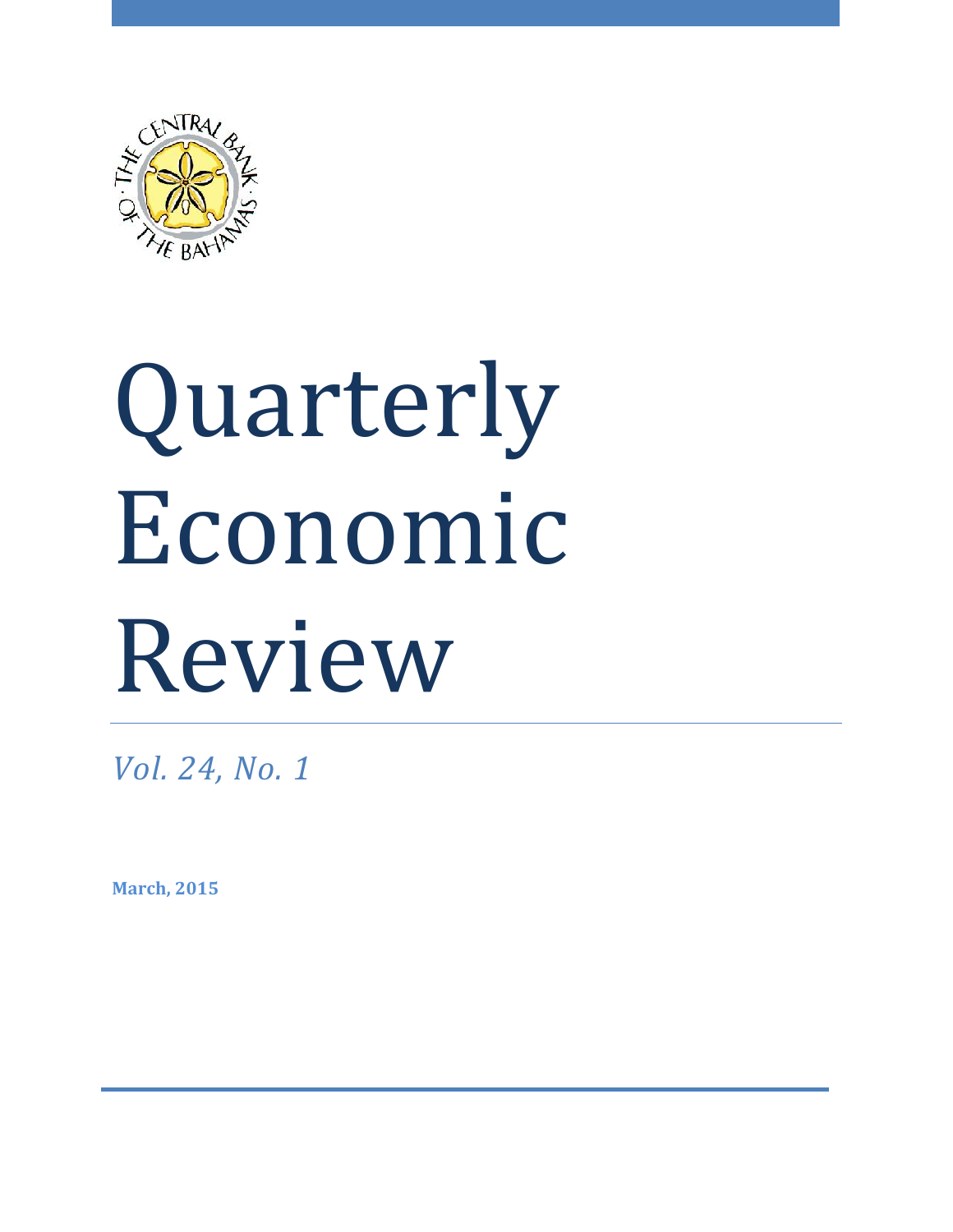

# Quarterly Economic Review

*Vol. 24, No. 1*

**March, 2015**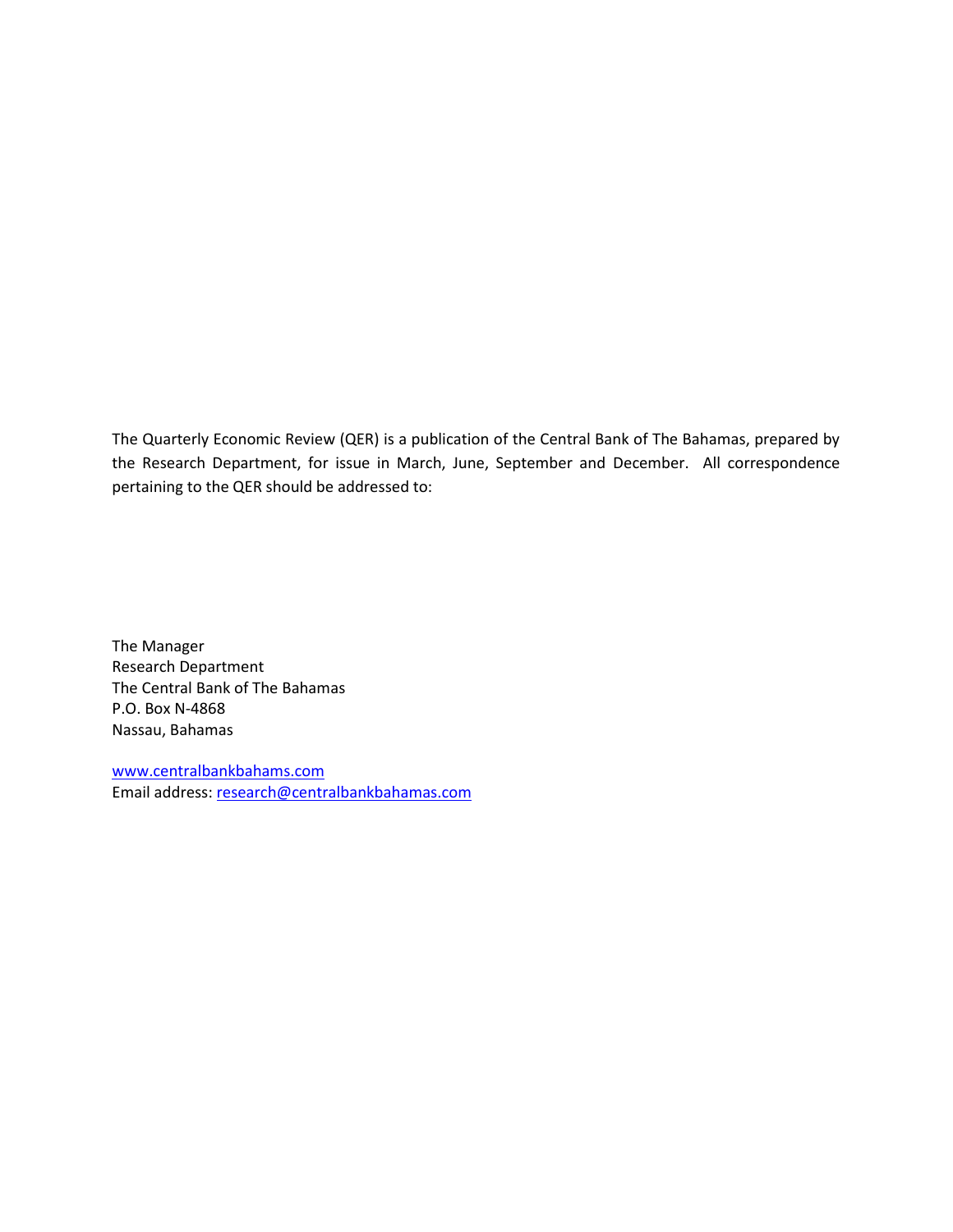The Quarterly Economic Review (QER) is a publication of the Central Bank of The Bahamas, prepared by the Research Department, for issue in March, June, September and December. All correspondence pertaining to the QER should be addressed to:

The Manager Research Department The Central Bank of The Bahamas P.O. Box N-4868 Nassau, Bahamas

www.centralbankbahams.com Email address: research@centralbankbahamas.com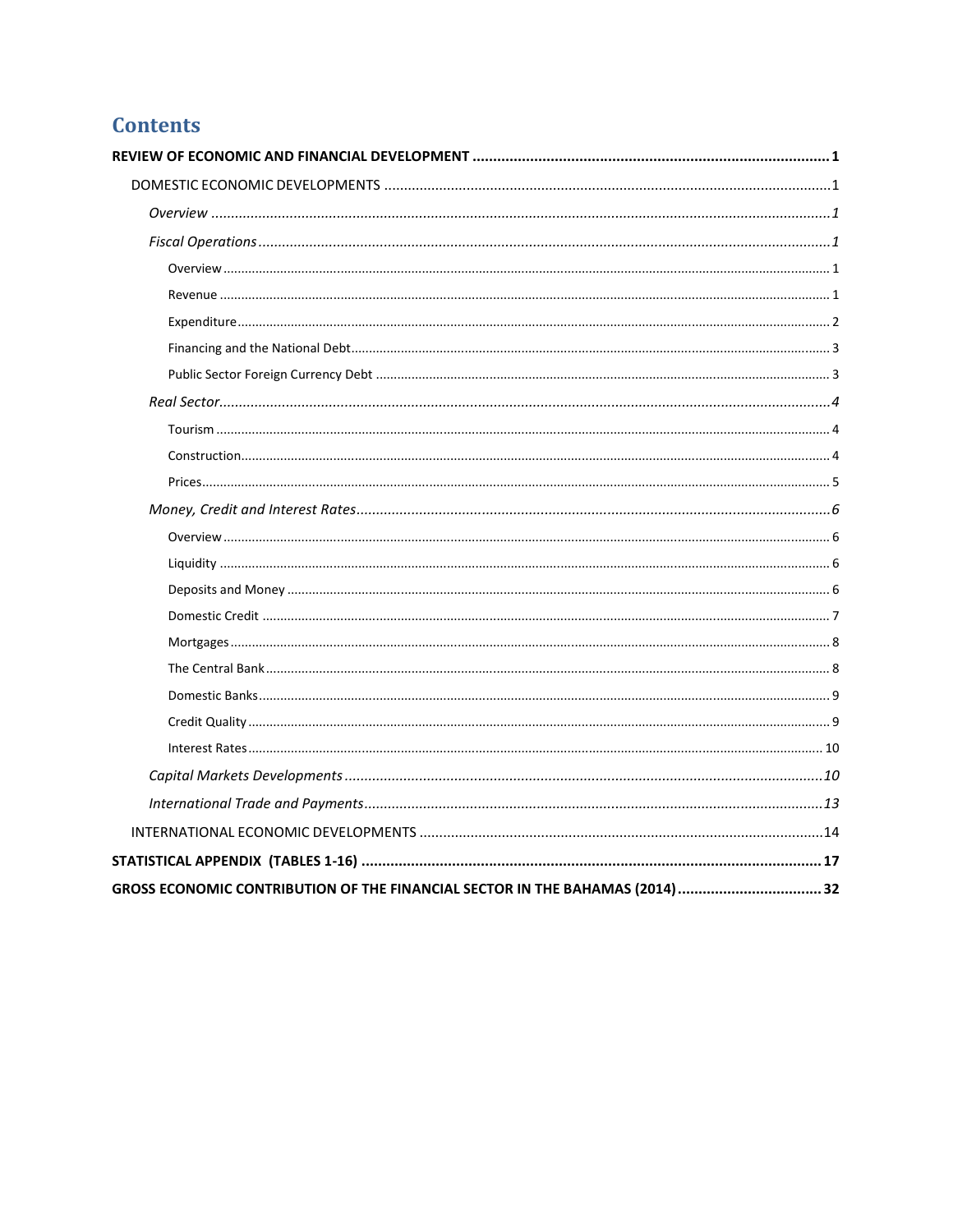# **Contents**

| GROSS ECONOMIC CONTRIBUTION OF THE FINANCIAL SECTOR IN THE BAHAMAS (2014)  32 |
|-------------------------------------------------------------------------------|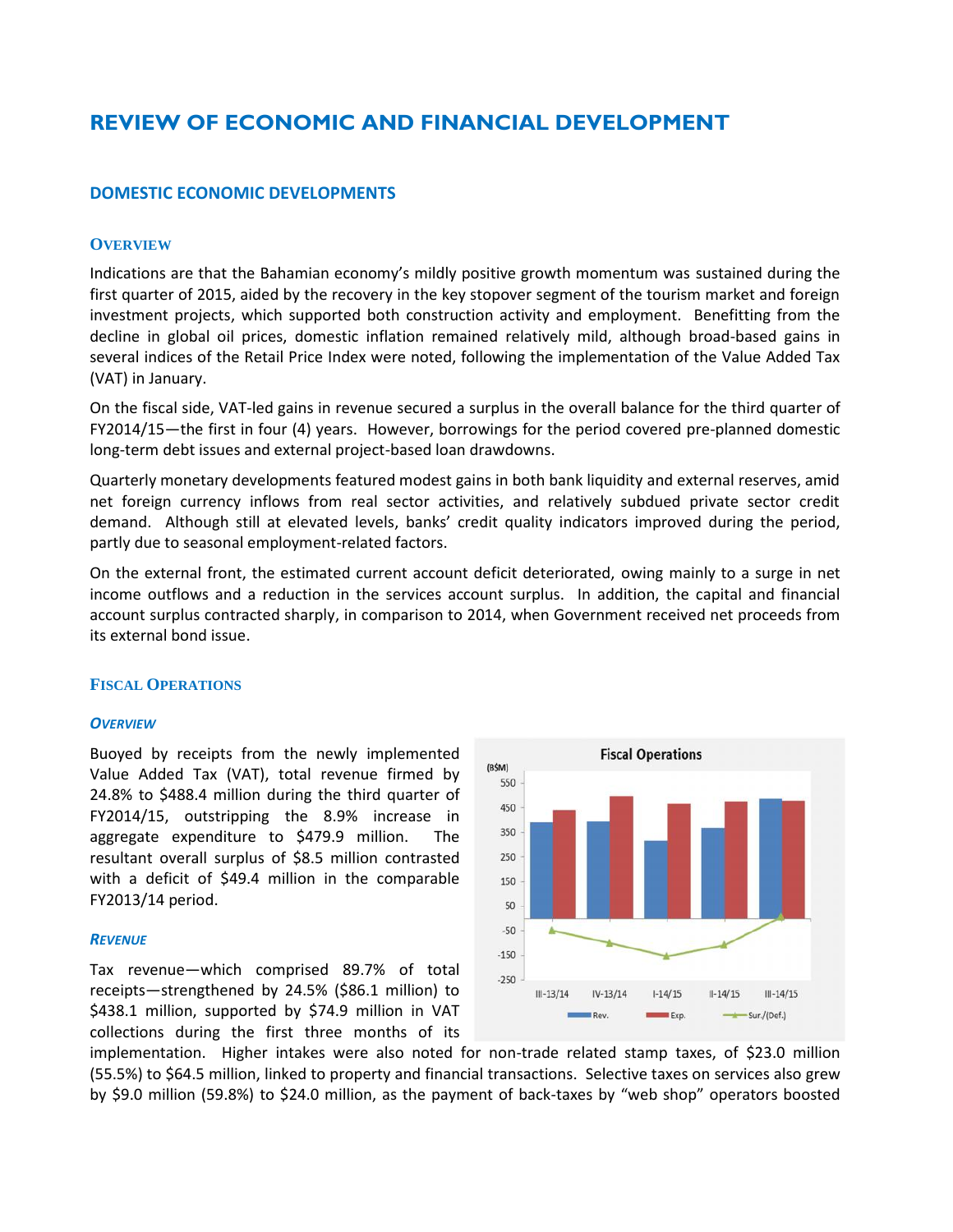# **REVIEW OF ECONOMIC AND FINANCIAL DEVELOPMENT**

# **DOMESTIC ECONOMIC DEVELOPMENTS**

#### **OVERVIEW**

Indications are that the Bahamian economy's mildly positive growth momentum was sustained during the first quarter of 2015, aided by the recovery in the key stopover segment of the tourism market and foreign investment projects, which supported both construction activity and employment. Benefitting from the decline in global oil prices, domestic inflation remained relatively mild, although broad-based gains in several indices of the Retail Price Index were noted, following the implementation of the Value Added Tax (VAT) in January.

On the fiscal side, VAT-led gains in revenue secured a surplus in the overall balance for the third quarter of FY2014/15—the first in four (4) years. However, borrowings for the period covered pre-planned domestic long-term debt issues and external project-based loan drawdowns.

Quarterly monetary developments featured modest gains in both bank liquidity and external reserves, amid net foreign currency inflows from real sector activities, and relatively subdued private sector credit demand. Although still at elevated levels, banks' credit quality indicators improved during the period, partly due to seasonal employment-related factors.

On the external front, the estimated current account deficit deteriorated, owing mainly to a surge in net income outflows and a reduction in the services account surplus. In addition, the capital and financial account surplus contracted sharply, in comparison to 2014, when Government received net proceeds from its external bond issue.

#### **FISCAL OPERATIONS**

#### *OVERVIEW*

Buoyed by receipts from the newly implemented Value Added Tax (VAT), total revenue firmed by  $\frac{100 \text{ N}}{550}$ 24.8% to \$488.4 million during the third quarter of FY2014/15, outstripping the 8.9% increase in aggregate expenditure to \$479.9 million. The <sup>350</sup> resultant overall surplus of \$8.5 million contrasted with a deficit of \$49.4 million in the comparable 150 FY2013/14 period.

#### *REVENUE*

Tax revenue—which comprised 89.7% of total receipts—strengthened by 24.5% (\$86.1 million) to \$438.1 million, supported by \$74.9 million in VAT collections during the first three months of its



implementation. Higher intakes were also noted for non-trade related stamp taxes, of \$23.0 million (55.5%) to \$64.5 million, linked to property and financial transactions. Selective taxes on services also grew by \$9.0 million (59.8%) to \$24.0 million, as the payment of back-taxes by "web shop" operators boosted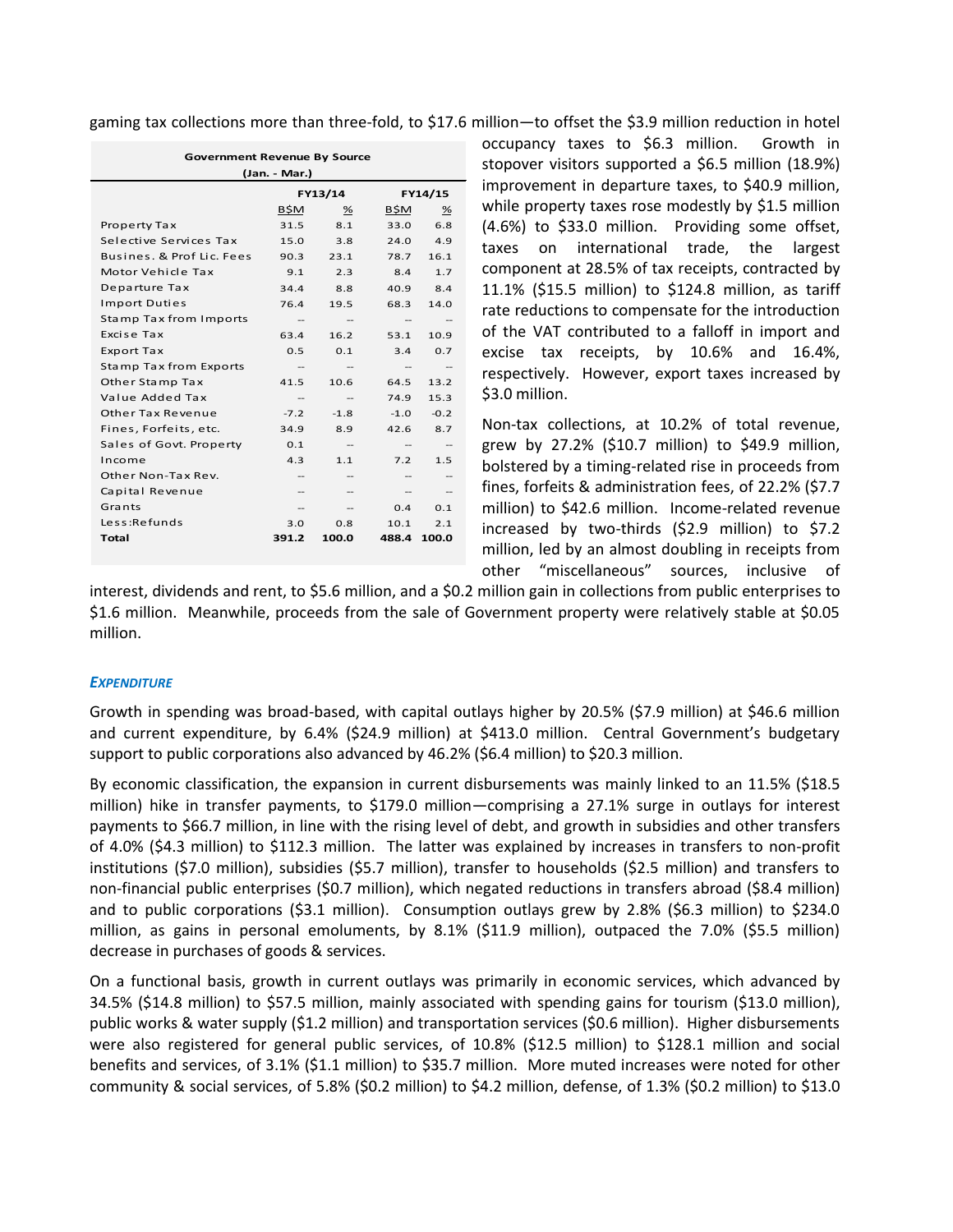gaming tax collections more than three-fold, to \$17.6 million—to offset the \$3.9 million reduction in hotel

| <b>Government Revenue By Source</b> |                                  |                   |                   |         |  |
|-------------------------------------|----------------------------------|-------------------|-------------------|---------|--|
| (Jan. - Mar.)                       |                                  |                   |                   |         |  |
|                                     |                                  | FY13/14           |                   | FY14/15 |  |
|                                     | B\$M                             | %                 | B\$M              | ℅       |  |
| Property Tax                        | 31.5                             | 8.1               | 33.0              | 6.8     |  |
| Selective Services Tax              | 15.0                             | 3.8               | 24.0              | 4.9     |  |
| Busines, & Prof Lic. Fees           | 90.3                             | 23.1              | 78.7              | 16.1    |  |
| Motor Vehicle Tax                   | 9.1                              | 2.3               | 8.4               | 1.7     |  |
| Departure Tax                       | 34.4                             | 8.8               | 40.9              | 8.4     |  |
| <b>Import Duties</b>                | 76.4                             | 19.5              | 68.3              | 14.0    |  |
| Stamp Tax from Imports              | $\hspace{0.05cm}$                | $-\!$             | --                | --      |  |
| Excise Tax                          | 63.4                             | 16.2              | 53.1              | 10.9    |  |
| <b>Export Tax</b>                   | 0.5                              | 0.1               | 3.4               | 0.7     |  |
| Stamp Tax from Exports              | $\hspace{0.05cm}$                | $-$               | $\qquad \qquad -$ | --      |  |
| Other Stamp Tax                     | 41.5                             | 10.6              | 64.5              | 13.2    |  |
| Value Added Tax                     | --                               | $\qquad \qquad -$ | 74.9              | 15.3    |  |
| Other Tax Revenue                   | $-7.2$                           | $-1.8$            | $-1.0$            | $-0.2$  |  |
| Fines, Forfeits, etc.               | 34.9                             | 8.9               | 42.6              | 8.7     |  |
| Sales of Govt. Property             | 0.1                              |                   | $\qquad \qquad -$ |         |  |
| Income                              | 4.3                              | 1.1               | 7.2               | 1.5     |  |
| Other Non-Tax Rev.                  |                                  |                   |                   |         |  |
| Capital Revenue                     |                                  |                   |                   |         |  |
| Grants                              |                                  |                   | 0.4               | 0.1     |  |
| Less:Refunds                        | 3.0                              | 0.8               | 10.1              | 2.1     |  |
| Total                               | 391.2<br>100.0<br>488.4<br>100.0 |                   |                   |         |  |
|                                     |                                  |                   |                   |         |  |

occupancy taxes to \$6.3 million. Growth in stopover visitors supported a \$6.5 million (18.9%) improvement in departure taxes, to \$40.9 million, while property taxes rose modestly by \$1.5 million (4.6%) to \$33.0 million. Providing some offset, taxes on international trade, the largest component at 28.5% of tax receipts, contracted by 11.1% (\$15.5 million) to \$124.8 million, as tariff rate reductions to compensate for the introduction of the VAT contributed to a falloff in import and excise tax receipts, by 10.6% and 16.4%, respectively. However, export taxes increased by \$3.0 million.

Non-tax collections, at 10.2% of total revenue, grew by 27.2% (\$10.7 million) to \$49.9 million, bolstered by a timing-related rise in proceeds from fines, forfeits & administration fees, of 22.2% (\$7.7 million) to \$42.6 million. Income-related revenue increased by two-thirds (\$2.9 million) to \$7.2 million, led by an almost doubling in receipts from other "miscellaneous" sources, inclusive of

interest, dividends and rent, to \$5.6 million, and a \$0.2 million gain in collections from public enterprises to \$1.6 million. Meanwhile, proceeds from the sale of Government property were relatively stable at \$0.05 million.

# *EXPENDITURE*

Growth in spending was broad-based, with capital outlays higher by 20.5% (\$7.9 million) at \$46.6 million and current expenditure, by 6.4% (\$24.9 million) at \$413.0 million. Central Government's budgetary support to public corporations also advanced by 46.2% (\$6.4 million) to \$20.3 million.

By economic classification, the expansion in current disbursements was mainly linked to an 11.5% (\$18.5 million) hike in transfer payments, to \$179.0 million—comprising a 27.1% surge in outlays for interest payments to \$66.7 million, in line with the rising level of debt, and growth in subsidies and other transfers of 4.0% (\$4.3 million) to \$112.3 million. The latter was explained by increases in transfers to non-profit institutions (\$7.0 million), subsidies (\$5.7 million), transfer to households (\$2.5 million) and transfers to non-financial public enterprises (\$0.7 million), which negated reductions in transfers abroad (\$8.4 million) and to public corporations (\$3.1 million). Consumption outlays grew by 2.8% (\$6.3 million) to \$234.0 million, as gains in personal emoluments, by 8.1% (\$11.9 million), outpaced the 7.0% (\$5.5 million) decrease in purchases of goods & services.

On a functional basis, growth in current outlays was primarily in economic services, which advanced by 34.5% (\$14.8 million) to \$57.5 million, mainly associated with spending gains for tourism (\$13.0 million), public works & water supply (\$1.2 million) and transportation services (\$0.6 million). Higher disbursements were also registered for general public services, of 10.8% (\$12.5 million) to \$128.1 million and social benefits and services, of 3.1% (\$1.1 million) to \$35.7 million. More muted increases were noted for other community & social services, of 5.8% (\$0.2 million) to \$4.2 million, defense, of 1.3% (\$0.2 million) to \$13.0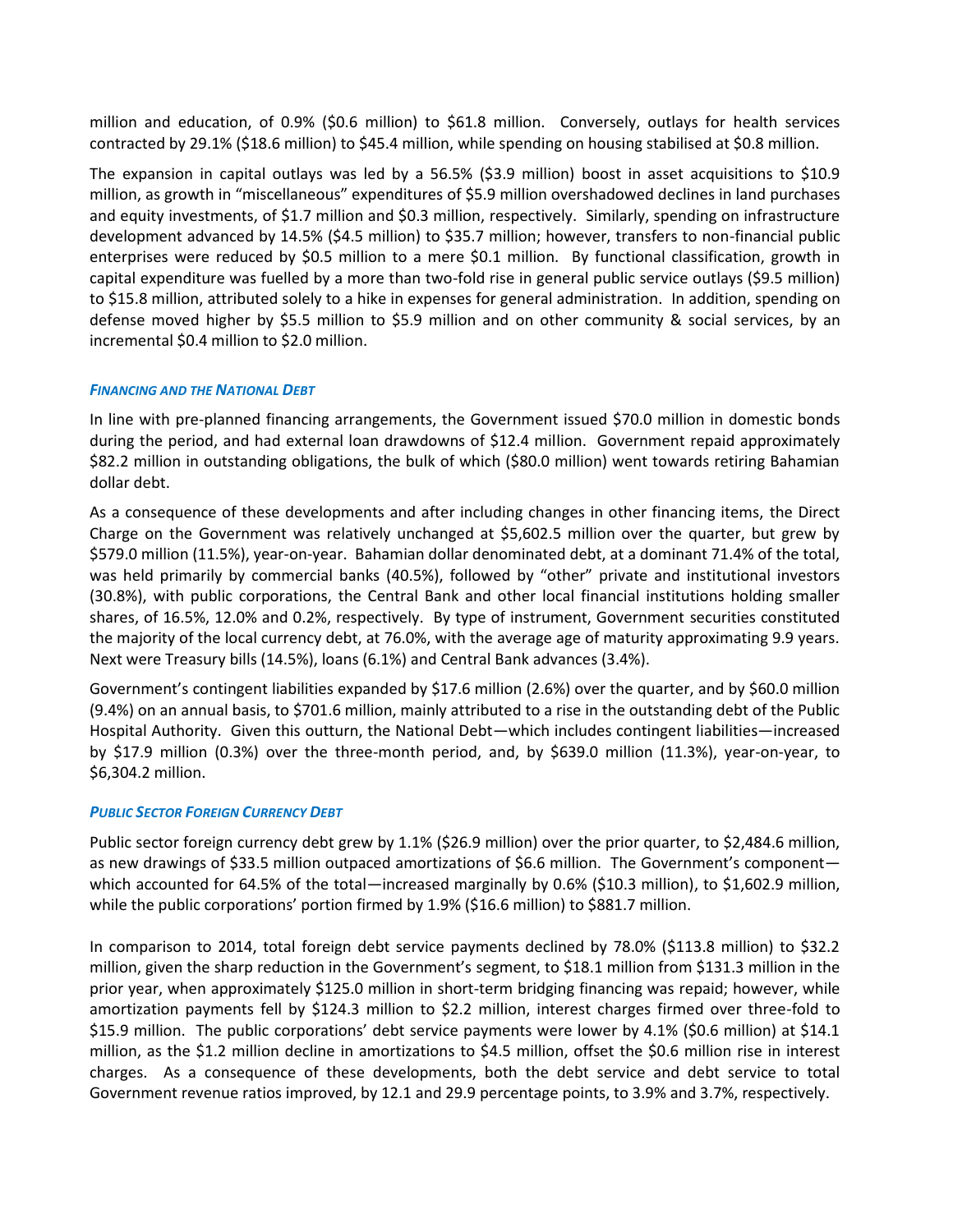million and education, of 0.9% (\$0.6 million) to \$61.8 million. Conversely, outlays for health services contracted by 29.1% (\$18.6 million) to \$45.4 million, while spending on housing stabilised at \$0.8 million.

The expansion in capital outlays was led by a 56.5% (\$3.9 million) boost in asset acquisitions to \$10.9 million, as growth in "miscellaneous" expenditures of \$5.9 million overshadowed declines in land purchases and equity investments, of \$1.7 million and \$0.3 million, respectively. Similarly, spending on infrastructure development advanced by 14.5% (\$4.5 million) to \$35.7 million; however, transfers to non-financial public enterprises were reduced by \$0.5 million to a mere \$0.1 million. By functional classification, growth in capital expenditure was fuelled by a more than two-fold rise in general public service outlays (\$9.5 million) to \$15.8 million, attributed solely to a hike in expenses for general administration. In addition, spending on defense moved higher by \$5.5 million to \$5.9 million and on other community & social services, by an incremental \$0.4 million to \$2.0 million.

# *FINANCING AND THE NATIONAL DEBT*

In line with pre-planned financing arrangements, the Government issued \$70.0 million in domestic bonds during the period, and had external loan drawdowns of \$12.4 million. Government repaid approximately \$82.2 million in outstanding obligations, the bulk of which (\$80.0 million) went towards retiring Bahamian dollar debt.

As a consequence of these developments and after including changes in other financing items, the Direct Charge on the Government was relatively unchanged at \$5,602.5 million over the quarter, but grew by \$579.0 million (11.5%), year-on-year. Bahamian dollar denominated debt, at a dominant 71.4% of the total, was held primarily by commercial banks (40.5%), followed by "other" private and institutional investors (30.8%), with public corporations, the Central Bank and other local financial institutions holding smaller shares, of 16.5%, 12.0% and 0.2%, respectively. By type of instrument, Government securities constituted the majority of the local currency debt, at 76.0%, with the average age of maturity approximating 9.9 years. Next were Treasury bills (14.5%), loans (6.1%) and Central Bank advances (3.4%).

Government's contingent liabilities expanded by \$17.6 million (2.6%) over the quarter, and by \$60.0 million (9.4%) on an annual basis, to \$701.6 million, mainly attributed to a rise in the outstanding debt of the Public Hospital Authority. Given this outturn, the National Debt—which includes contingent liabilities—increased by \$17.9 million (0.3%) over the three-month period, and, by \$639.0 million (11.3%), year-on-year, to \$6,304.2 million.

# *PUBLIC SECTOR FOREIGN CURRENCY DEBT*

Public sector foreign currency debt grew by 1.1% (\$26.9 million) over the prior quarter, to \$2,484.6 million, as new drawings of \$33.5 million outpaced amortizations of \$6.6 million. The Government's component which accounted for 64.5% of the total—increased marginally by 0.6% (\$10.3 million), to \$1,602.9 million, while the public corporations' portion firmed by 1.9% (\$16.6 million) to \$881.7 million.

In comparison to 2014, total foreign debt service payments declined by 78.0% (\$113.8 million) to \$32.2 million, given the sharp reduction in the Government's segment, to \$18.1 million from \$131.3 million in the prior year, when approximately \$125.0 million in short-term bridging financing was repaid; however, while amortization payments fell by \$124.3 million to \$2.2 million, interest charges firmed over three-fold to \$15.9 million. The public corporations' debt service payments were lower by 4.1% (\$0.6 million) at \$14.1 million, as the \$1.2 million decline in amortizations to \$4.5 million, offset the \$0.6 million rise in interest charges. As a consequence of these developments, both the debt service and debt service to total Government revenue ratios improved, by 12.1 and 29.9 percentage points, to 3.9% and 3.7%, respectively.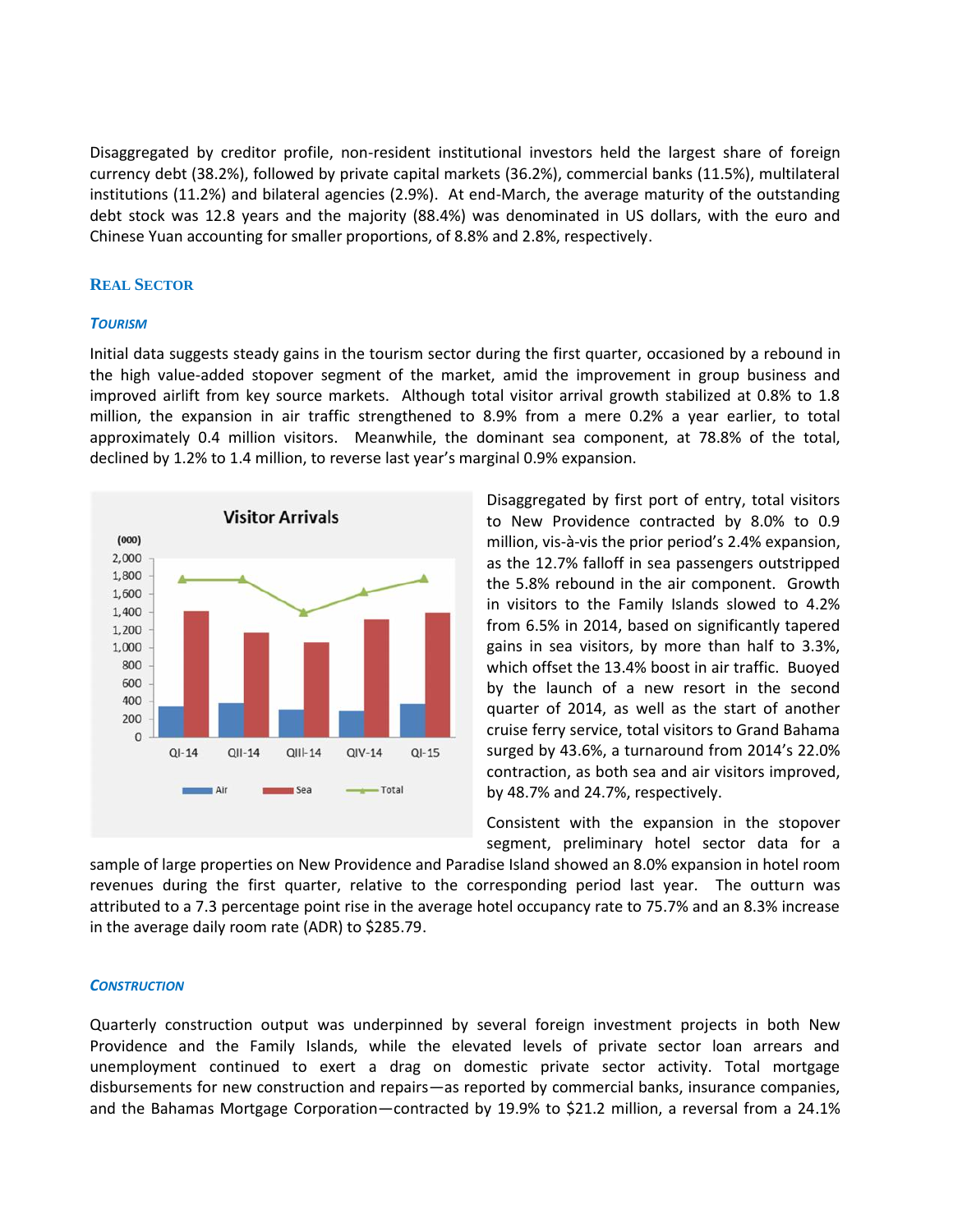Disaggregated by creditor profile, non-resident institutional investors held the largest share of foreign currency debt (38.2%), followed by private capital markets (36.2%), commercial banks (11.5%), multilateral institutions (11.2%) and bilateral agencies (2.9%). At end-March, the average maturity of the outstanding debt stock was 12.8 years and the majority (88.4%) was denominated in US dollars, with the euro and Chinese Yuan accounting for smaller proportions, of 8.8% and 2.8%, respectively.

#### **REAL SECTOR**

#### *TOURISM*

Initial data suggests steady gains in the tourism sector during the first quarter, occasioned by a rebound in the high value-added stopover segment of the market, amid the improvement in group business and improved airlift from key source markets. Although total visitor arrival growth stabilized at 0.8% to 1.8 million, the expansion in air traffic strengthened to 8.9% from a mere 0.2% a year earlier, to total approximately 0.4 million visitors. Meanwhile, the dominant sea component, at 78.8% of the total, declined by 1.2% to 1.4 million, to reverse last year's marginal 0.9% expansion.



Disaggregated by first port of entry, total visitors to New Providence contracted by 8.0% to 0.9 million, vis-à-vis the prior period's 2.4% expansion, as the 12.7% falloff in sea passengers outstripped the 5.8% rebound in the air component. Growth in visitors to the Family Islands slowed to 4.2% from 6.5% in 2014, based on significantly tapered gains in sea visitors, by more than half to 3.3%, which offset the 13.4% boost in air traffic. Buoyed by the launch of a new resort in the second quarter of 2014, as well as the start of another cruise ferry service, total visitors to Grand Bahama surged by 43.6%, a turnaround from 2014's 22.0% contraction, as both sea and air visitors improved, by 48.7% and 24.7%, respectively.

Consistent with the expansion in the stopover segment, preliminary hotel sector data for a

sample of large properties on New Providence and Paradise Island showed an 8.0% expansion in hotel room revenues during the first quarter, relative to the corresponding period last year. The outturn was attributed to a 7.3 percentage point rise in the average hotel occupancy rate to 75.7% and an 8.3% increase in the average daily room rate (ADR) to \$285.79.

#### *CONSTRUCTION*

Quarterly construction output was underpinned by several foreign investment projects in both New Providence and the Family Islands, while the elevated levels of private sector loan arrears and unemployment continued to exert a drag on domestic private sector activity. Total mortgage disbursements for new construction and repairs—as reported by commercial banks, insurance companies, and the Bahamas Mortgage Corporation—contracted by 19.9% to \$21.2 million, a reversal from a 24.1%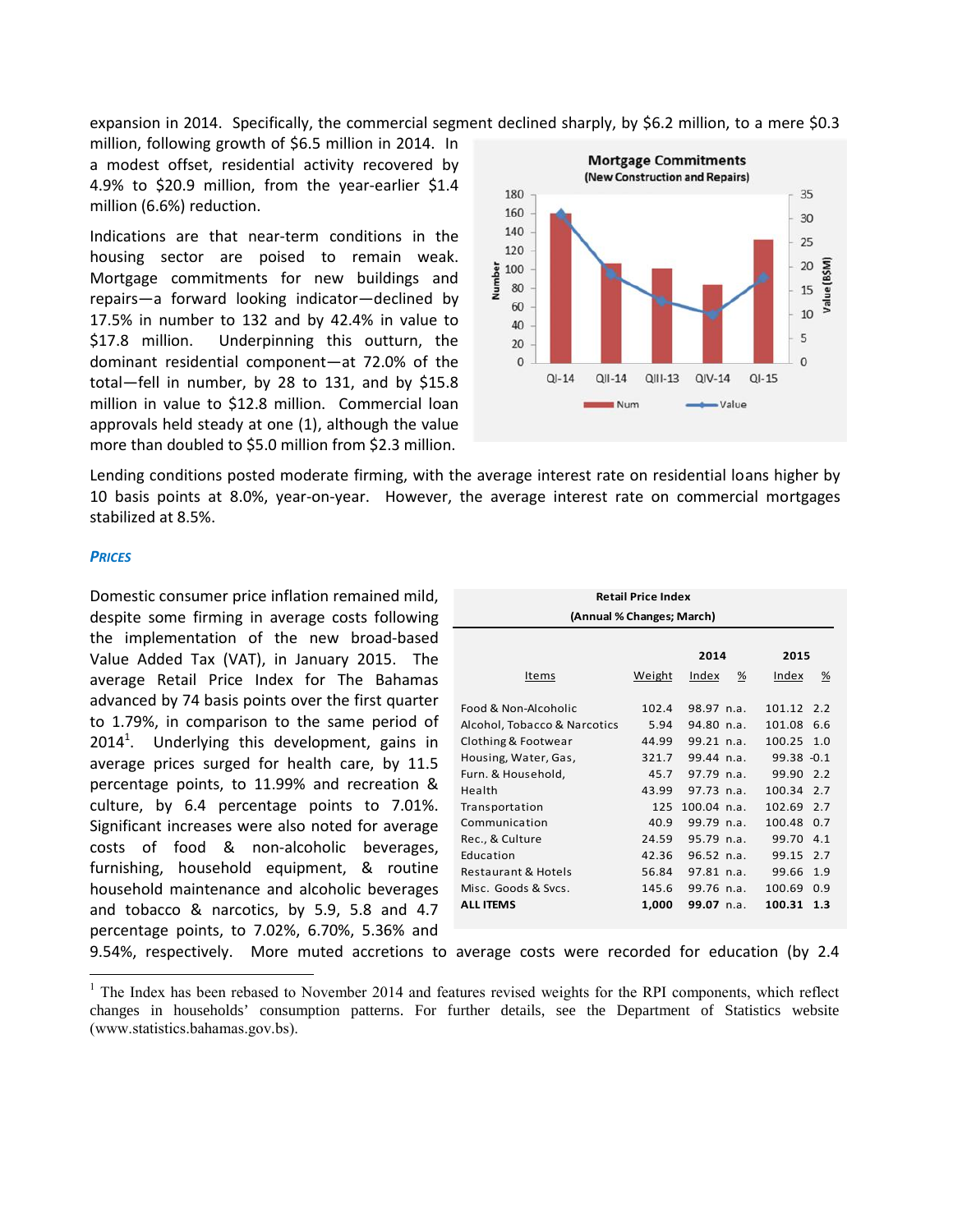expansion in 2014. Specifically, the commercial segment declined sharply, by \$6.2 million, to a mere \$0.3

million, following growth of \$6.5 million in 2014. In a modest offset, residential activity recovered by 4.9% to \$20.9 million, from the year-earlier \$1.4  $_{180}$ million (6.6%) reduction.

Indications are that near-term conditions in the  $140$ <br>hereing costar are projected to agree weak 120 housing sector are poised to remain weak.<br>
Mortgage commitments for new buildings and<br>
renairs—a forward looking indicator—declined by Mortgage commitments for new buildings and repairs—a forward looking indicator—declined by  $\bar{z}$  60 17.5% in number to 132 and by 42.4% in value to  $_{40}$ \$17.8 million. Underpinning this outturn, the dominant residential component—at 72.0% of the total—fell in number, by 28 to 131, and by \$15.8 million in value to \$12.8 million. Commercial loan approvals held steady at one (1), although the value more than doubled to \$5.0 million from \$2.3 million.



Lending conditions posted moderate firming, with the average interest rate on residential loans higher by 10 basis points at 8.0%, year-on-year. However, the average interest rate on commercial mortgages stabilized at 8.5%.

#### *PRICES*

Domestic consumer price inflation remained mild, despite some firming in average costs following the implementation of the new broad-based Value Added Tax (VAT), in January 2015. The average Retail Price Index for The Bahamas advanced by 74 basis points over the first quarter to 1.79%, in comparison to the same period of  $2014<sup>1</sup>$ . Underlying this development, gains in Clothing average prices surged for health care, by 11.5 percentage points, to 11.99% and recreation & culture, by 6.4 percentage points to 7.01%. Significant increases were also noted for average costs of food & non-alcoholic beverages, furnishing, household equipment, & routine household maintenance and alcoholic beverages and tobacco & narcotics, by 5.9, 5.8 and 4.7 percentage points, to 7.02%, 6.70%, 5.36% and

| <b>Retail Price Index</b>      |        |                   |                   |  |
|--------------------------------|--------|-------------------|-------------------|--|
| (Annual % Changes; March)      |        |                   |                   |  |
|                                |        |                   |                   |  |
|                                |        | 2014              | 2015              |  |
| Items                          | Weight | <u>Index</u><br>% | <u>Index</u><br>% |  |
|                                |        |                   |                   |  |
| Food & Non-Alcoholic           | 102.4  | 98.97 n.a.        | 101.12<br>2.2     |  |
| Alcohol, Tobacco & Narcotics   | 5.94   | $94.80$ n.a.      | 101.08<br>6.6     |  |
| Clothing & Footwear            | 44.99  | $99.21$ n.a.      | 100.25<br>1.0     |  |
| Housing, Water, Gas,           | 321.7  | 99.44 n.a.        | $99.38 - 0.1$     |  |
| Furn. & Household,             | 45.7   | $97.79$ n.a.      | 99.90<br>2.2      |  |
| Health                         | 43.99  | $97.73$ n.a.      | 100.34<br>2.7     |  |
| Transportation                 | 125    | $100.04$ n.a.     | 102.69<br>2.7     |  |
| Communication                  | 40.9   | 99.79 n.a.        | 100.48<br>0.7     |  |
| Rec., & Culture                | 24.59  | 95.79 n.a.        | 99.70<br>4.1      |  |
| Education                      | 42.36  | $96.52$ n.a.      | 99.15<br>2.7      |  |
| <b>Restaurant &amp; Hotels</b> | 56.84  | $97.81$ n.a.      | 99.66<br>1.9      |  |
| Misc. Goods & Sycs.            | 145.6  | $99.76$ n.a.      | 100.69<br>0.9     |  |
| <b>ALL ITEMS</b>               | 1,000  | 99.07 $n.a.$      | 100.31<br>1.3     |  |
|                                |        |                   |                   |  |

9.54%, respectively. More muted accretions to average costs were recorded for education (by 2.4

<sup>&</sup>lt;sup>1</sup> The Index has been rebased to November 2014 and features revised weights for the RPI components, which reflect changes in households' consumption patterns. For further details, see the Department of Statistics website (www.statistics.bahamas.gov.bs).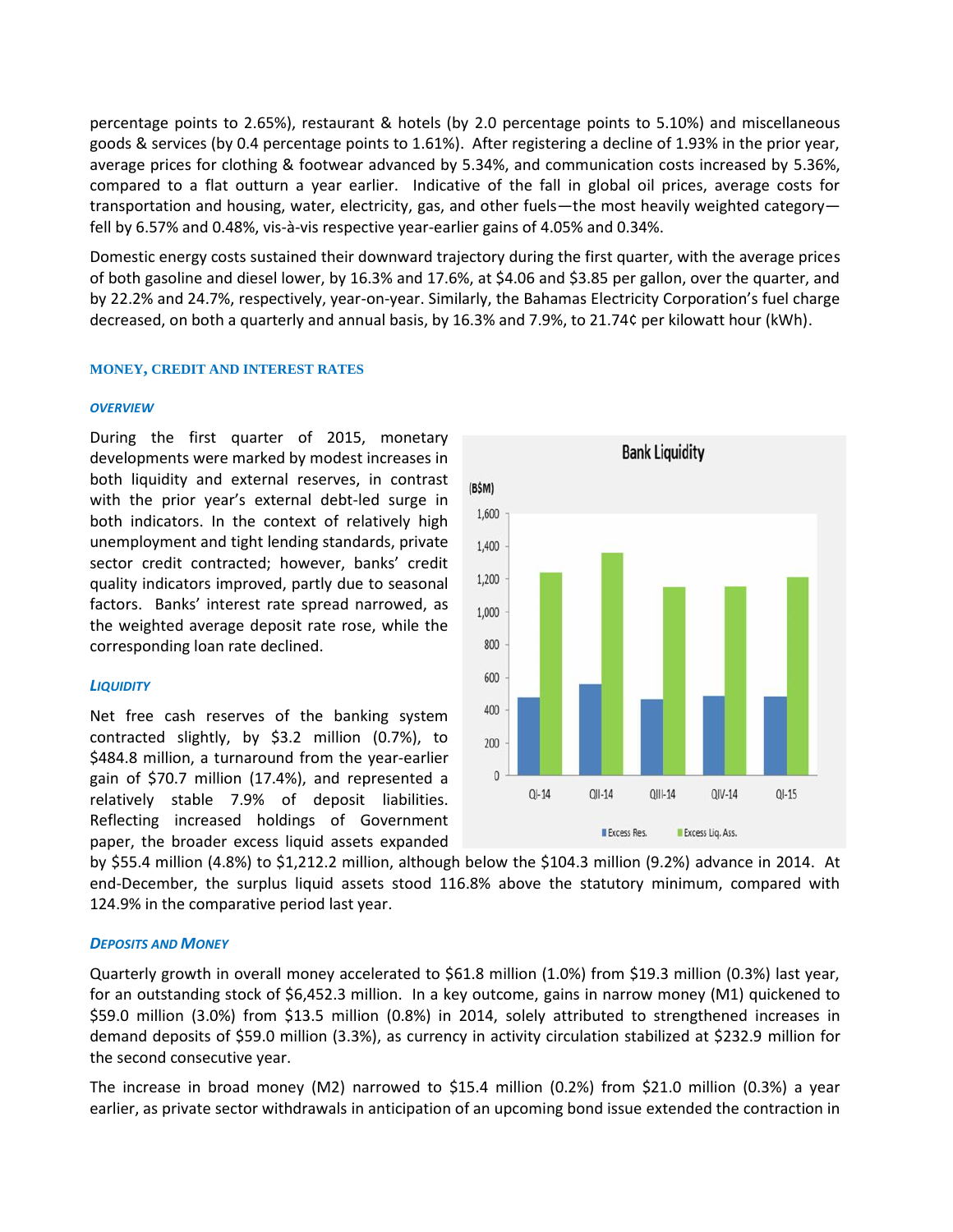percentage points to 2.65%), restaurant & hotels (by 2.0 percentage points to 5.10%) and miscellaneous goods & services (by 0.4 percentage points to 1.61%). After registering a decline of 1.93% in the prior year, average prices for clothing & footwear advanced by 5.34%, and communication costs increased by 5.36%, compared to a flat outturn a year earlier. Indicative of the fall in global oil prices, average costs for transportation and housing, water, electricity, gas, and other fuels—the most heavily weighted category fell by 6.57% and 0.48%, vis-à-vis respective year-earlier gains of 4.05% and 0.34%.

Domestic energy costs sustained their downward trajectory during the first quarter, with the average prices of both gasoline and diesel lower, by 16.3% and 17.6%, at \$4.06 and \$3.85 per gallon, over the quarter, and by 22.2% and 24.7%, respectively, year-on-year. Similarly, the Bahamas Electricity Corporation's fuel charge decreased, on both a quarterly and annual basis, by 16.3% and 7.9%, to 21.74¢ per kilowatt hour (kWh).

#### **MONEY, CREDIT AND INTEREST RATES**

#### *OVERVIEW*

During the first quarter of 2015, monetary developments were marked by modest increases in both liquidity and external reserves, in contrast (BSM) with the prior year's external debt-led surge in  $\frac{1}{1,600}$ both indicators. In the context of relatively high unemployment and tight lending standards, private  $1,400$ sector credit contracted; however, banks' credit<br>quality indicators improved, partly due to seasonal 1,200 quality indicators improved, partly due to seasonal factors. Banks' interest rate spread narrowed, as  $1000$ the weighted average deposit rate rose, while the corresponding loan rate declined.

#### *LIQUIDITY*

Net free cash reserves of the banking system 400 contracted slightly, by \$3.2 million (0.7%), to  $_{200}$ \$484.8 million, a turnaround from the year-earlier gain of \$70.7 million (17.4%), and represented a  $\sqrt{ }$ relatively stable 7.9% of deposit liabilities. Reflecting increased holdings of Government paper, the broader excess liquid assets expanded



by \$55.4 million (4.8%) to \$1,212.2 million, although below the \$104.3 million (9.2%) advance in 2014. At end-December, the surplus liquid assets stood 116.8% above the statutory minimum, compared with 124.9% in the comparative period last year.

#### *DEPOSITS AND MONEY*

Quarterly growth in overall money accelerated to \$61.8 million (1.0%) from \$19.3 million (0.3%) last year, for an outstanding stock of \$6,452.3 million. In a key outcome, gains in narrow money (M1) quickened to \$59.0 million (3.0%) from \$13.5 million (0.8%) in 2014, solely attributed to strengthened increases in demand deposits of \$59.0 million (3.3%), as currency in activity circulation stabilized at \$232.9 million for the second consecutive year.

The increase in broad money (M2) narrowed to \$15.4 million (0.2%) from \$21.0 million (0.3%) a year earlier, as private sector withdrawals in anticipation of an upcoming bond issue extended the contraction in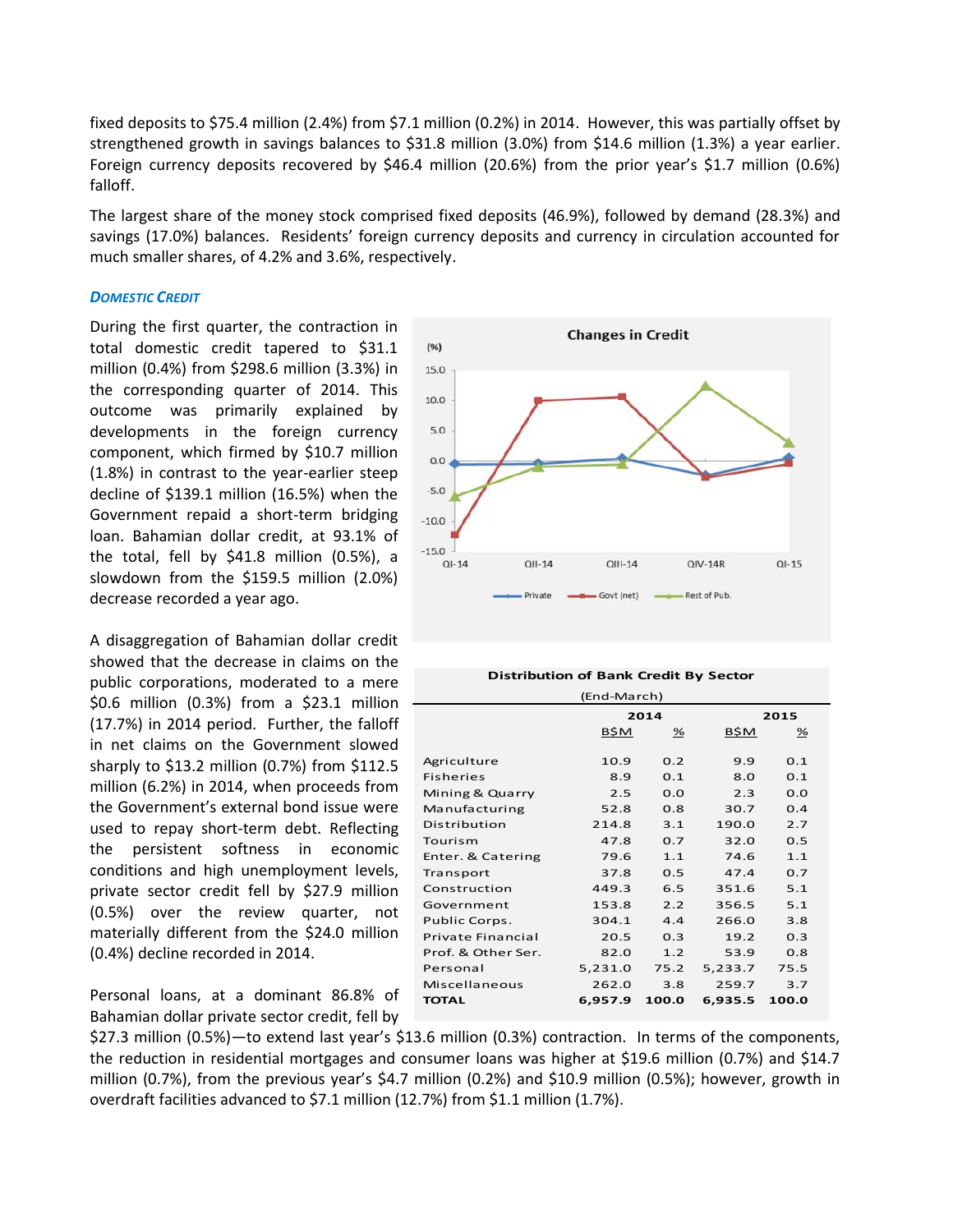fixed deposits to \$75.4 million (2.4%) from \$7.1 million (0.2%) in 2014. However, this was partially offset by strengthened growth in savings balances to \$31.8 million (3.0%) from \$14.6 million (1.3%) a year earlier. Foreign currency deposits recovered by \$46.4 million (20.6%) from the prior year's \$1.7 million (0.6%) falloff.

The largest share of the money stock comprised fixed deposits (46.9%), followed by demand (28.3%) and savings (17.0%) balances. Residents' foreign currency deposits and currency in circulation accounted for much smaller shares, of 4.2% and 3.6%, respectively.

#### *DOMESTIC CREDIT*

During the first quarter, the contraction in total domestic credit tapered to \$31.1 million (0.4%) from \$298.6 million (3.3%) in the corresponding quarter of 2014. This  $_{10.0}$ outcome was primarily explained by developments in the foreign currency component, which firmed by \$10.7 million  $\overline{\phantom{a}}_{0.0}$ (1.8%) in contrast to the year-earlier steep decline of \$139.1 million (16.5%) when the <sup>-5.0</sup> Government repaid a short-term bridging <sub>-10.0</sub> loan. Bahamian dollar credit, at 93.1% of the total, fell by \$41.8 million (0.5%), a  $^{15.0}$ slowdown from the \$159.5 million (2.0%) decrease recorded a year ago.

A disaggregation of Bahamian dollar credit showed that the decrease in claims on the public corporations, moderated to a mere \$0.6 million (0.3%) from a \$23.1 million (17.7%) in 2014 period. Further, the falloff in net claims on the Government slowed sharply to \$13.2 million (0.7%) from \$112.5 million (6.2%) in 2014, when proceeds from the Government's external bond issue were used to repay short-term debt. Reflecting the persistent softness in economic conditions and high unemployment levels, private sector credit fell by \$27.9 million (0.5%) over the review quarter, not materially different from the \$24.0 million (0.4%) decline recorded in 2014.

Personal loans, at a dominant 86.8% of Bahamian dollar private sector credit, fell by



| <b>Distribution of Bank Credit By Sector</b> |         |       |         |       |  |
|----------------------------------------------|---------|-------|---------|-------|--|
| (End-March)                                  |         |       |         |       |  |
|                                              |         | 2014  |         | 2015  |  |
|                                              | B\$M    | %     | B\$M    | %     |  |
| Agriculture                                  | 10.9    | 0.2   | 9.9     | 0.1   |  |
| <b>Fisheries</b>                             | 8.9     | 0.1   | 8.0     | 0.1   |  |
|                                              |         |       |         |       |  |
| Mining & Quarry                              | 2.5     | 0.0   | 2.3     | 0.0   |  |
| Manufacturing                                | 52.8    | 0.8   | 30.7    | 0.4   |  |
| Distribution                                 | 214.8   | 3.1   | 190.0   | 2.7   |  |
| Tourism                                      | 47.8    | 0.7   | 32.0    | 0.5   |  |
| Enter. & Catering                            | 79.6    | 1.1   | 74.6    | 1.1   |  |
| Transport                                    | 37.8    | 0.5   | 47.4    | 0.7   |  |
| Construction                                 | 449.3   | 6.5   | 351.6   | 5.1   |  |
| Government                                   | 153.8   | 2.2   | 356.5   | 5.1   |  |
| Public Corps.                                | 304.1   | 4.4   | 266.0   | 3.8   |  |
| <b>Private Financial</b>                     | 20.5    | 0.3   | 19.2    | 0.3   |  |
| Prof. & Other Ser.                           | 82.0    | 1.2   | 53.9    | 0.8   |  |
| Personal                                     | 5,231.0 | 75.2  | 5,233.7 | 75.5  |  |
| Miscellaneous                                | 262.0   | 3.8   | 259.7   | 3.7   |  |
| <b>TOTAL</b>                                 | 6,957.9 | 100.0 | 6,935.5 | 100.0 |  |

\$27.3 million (0.5%)—to extend last year's \$13.6 million (0.3%) contraction. In terms of the components, the reduction in residential mortgages and consumer loans was higher at \$19.6 million (0.7%) and \$14.7 million (0.7%), from the previous year's \$4.7 million (0.2%) and \$10.9 million (0.5%); however, growth in overdraft facilities advanced to \$7.1 million (12.7%) from \$1.1 million (1.7%).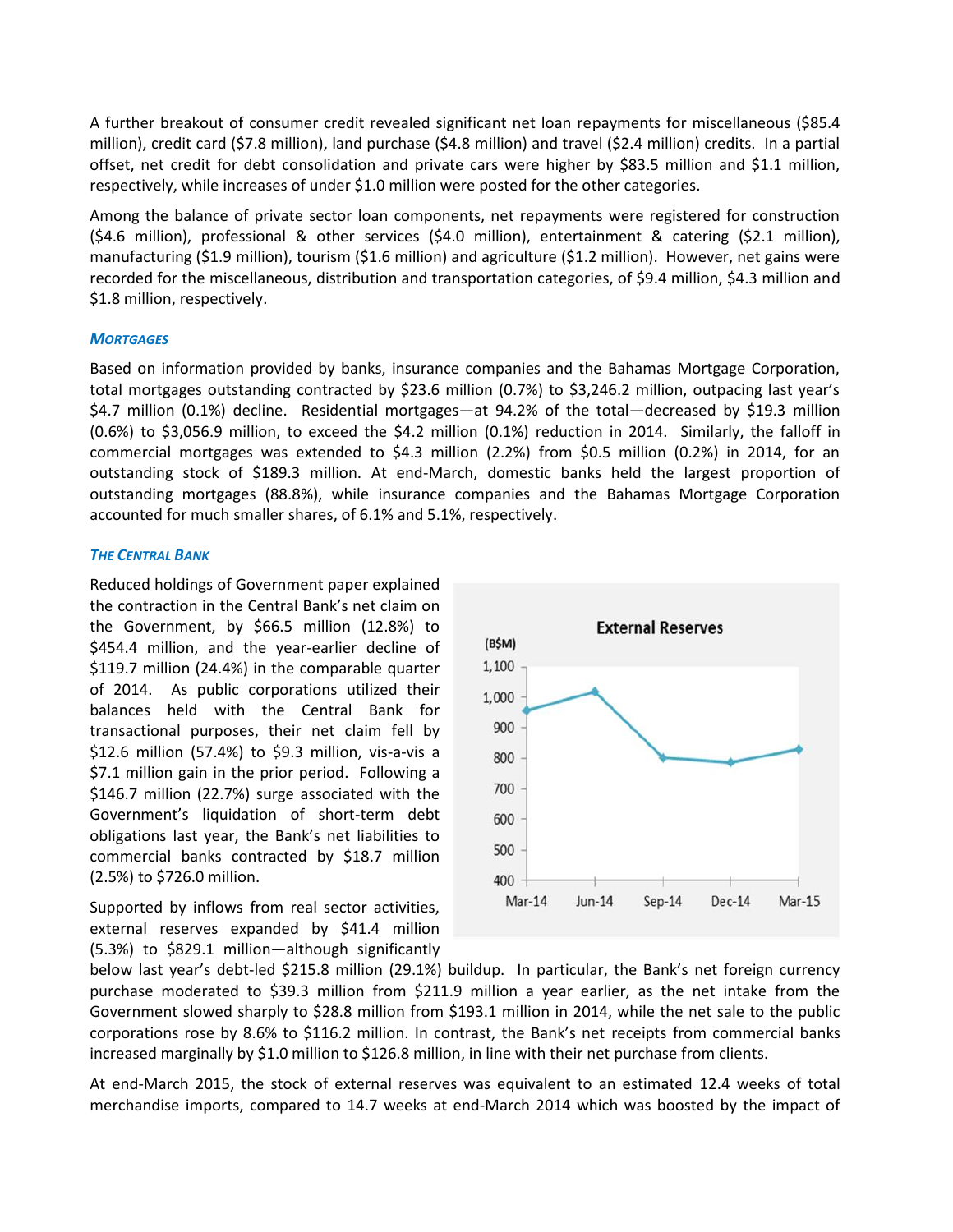A further breakout of consumer credit revealed significant net loan repayments for miscellaneous (\$85.4 million), credit card (\$7.8 million), land purchase (\$4.8 million) and travel (\$2.4 million) credits. In a partial offset, net credit for debt consolidation and private cars were higher by \$83.5 million and \$1.1 million, respectively, while increases of under \$1.0 million were posted for the other categories.

Among the balance of private sector loan components, net repayments were registered for construction (\$4.6 million), professional & other services (\$4.0 million), entertainment & catering (\$2.1 million), manufacturing (\$1.9 million), tourism (\$1.6 million) and agriculture (\$1.2 million). However, net gains were recorded for the miscellaneous, distribution and transportation categories, of \$9.4 million, \$4.3 million and \$1.8 million, respectively.

# *MORTGAGES*

Based on information provided by banks, insurance companies and the Bahamas Mortgage Corporation, total mortgages outstanding contracted by \$23.6 million (0.7%) to \$3,246.2 million, outpacing last year's \$4.7 million (0.1%) decline. Residential mortgages—at 94.2% of the total—decreased by \$19.3 million (0.6%) to \$3,056.9 million, to exceed the \$4.2 million (0.1%) reduction in 2014. Similarly, the falloff in commercial mortgages was extended to \$4.3 million (2.2%) from \$0.5 million (0.2%) in 2014, for an outstanding stock of \$189.3 million. At end-March, domestic banks held the largest proportion of outstanding mortgages (88.8%), while insurance companies and the Bahamas Mortgage Corporation accounted for much smaller shares, of 6.1% and 5.1%, respectively.

#### *THE CENTRAL BANK*

Reduced holdings of Government paper explained the contraction in the Central Bank's net claim on the Government, by \$66.5 million (12.8%) to<br>\$454.4 million, and the vear-earlier decline of (B\$M) \$454.4 million, and the year-earlier decline of \$119.7 million (24.4%) in the comparable quarter of 2014. As public corporations utilized their  $1,000$ balances held with the Central Bank for transactional purposes, their net claim fell by \$12.6 million (57.4%) to \$9.3 million, vis-a-vis a  $_{800}$ \$7.1 million gain in the prior period. Following a<br>\$146.7 million (22.7%) surge associated with the  $\frac{700}{ }$ \$146.7 million (22.7%) surge associated with the Government's liquidation of short-term debt obligations last year, the Bank's net liabilities to commercial banks contracted by \$18.7 million (2.5%) to \$726.0 million.

Supported by inflows from real sector activities, external reserves expanded by \$41.4 million (5.3%) to \$829.1 million—although significantly



below last year's debt-led \$215.8 million (29.1%) buildup. In particular, the Bank's net foreign currency purchase moderated to \$39.3 million from \$211.9 million a year earlier, as the net intake from the Government slowed sharply to \$28.8 million from \$193.1 million in 2014, while the net sale to the public corporations rose by 8.6% to \$116.2 million. In contrast, the Bank's net receipts from commercial banks increased marginally by \$1.0 million to \$126.8 million, in line with their net purchase from clients.

At end-March 2015, the stock of external reserves was equivalent to an estimated 12.4 weeks of total merchandise imports, compared to 14.7 weeks at end-March 2014 which was boosted by the impact of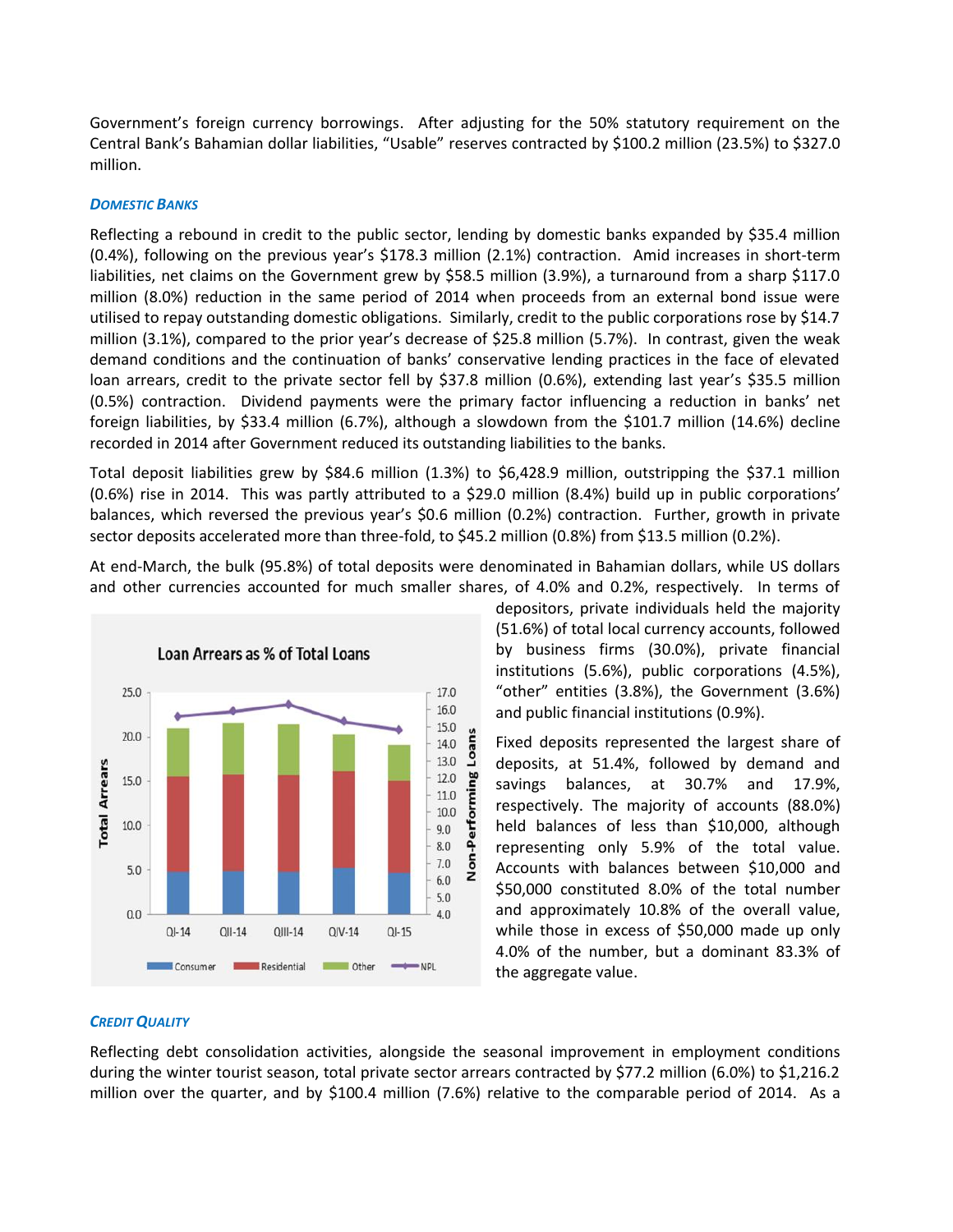Government's foreign currency borrowings. After adjusting for the 50% statutory requirement on the Central Bank's Bahamian dollar liabilities, "Usable" reserves contracted by \$100.2 million (23.5%) to \$327.0 million.

#### *DOMESTIC BANKS*

Reflecting a rebound in credit to the public sector, lending by domestic banks expanded by \$35.4 million (0.4%), following on the previous year's \$178.3 million (2.1%) contraction. Amid increases in short-term liabilities, net claims on the Government grew by \$58.5 million (3.9%), a turnaround from a sharp \$117.0 million (8.0%) reduction in the same period of 2014 when proceeds from an external bond issue were utilised to repay outstanding domestic obligations. Similarly, credit to the public corporations rose by \$14.7 million (3.1%), compared to the prior year's decrease of \$25.8 million (5.7%). In contrast, given the weak demand conditions and the continuation of banks' conservative lending practices in the face of elevated loan arrears, credit to the private sector fell by \$37.8 million (0.6%), extending last year's \$35.5 million (0.5%) contraction. Dividend payments were the primary factor influencing a reduction in banks' net foreign liabilities, by \$33.4 million (6.7%), although a slowdown from the \$101.7 million (14.6%) decline recorded in 2014 after Government reduced its outstanding liabilities to the banks.

Total deposit liabilities grew by \$84.6 million (1.3%) to \$6,428.9 million, outstripping the \$37.1 million (0.6%) rise in 2014. This was partly attributed to a \$29.0 million (8.4%) build up in public corporations' balances, which reversed the previous year's \$0.6 million (0.2%) contraction. Further, growth in private sector deposits accelerated more than three-fold, to \$45.2 million (0.8%) from \$13.5 million (0.2%).

At end-March, the bulk (95.8%) of total deposits were denominated in Bahamian dollars, while US dollars and other currencies accounted for much smaller shares, of 4.0% and 0.2%, respectively. In terms of



depositors, private individuals held the majority (51.6%) of total local currency accounts, followed by business firms (30.0%), private financial institutions (5.6%), public corporations (4.5%), "other" entities (3.8%), the Government (3.6%) and public financial institutions (0.9%).

Fixed deposits represented the largest share of deposits, at 51.4%, followed by demand and savings balances, at 30.7% and 17.9%, respectively. The majority of accounts (88.0%) held balances of less than \$10,000, although representing only 5.9% of the total value. Accounts with balances between \$10,000 and \$50,000 constituted 8.0% of the total number and approximately 10.8% of the overall value, while those in excess of \$50,000 made up only 4.0% of the number, but a dominant 83.3% of the aggregate value.

# *CREDIT QUALITY*

Reflecting debt consolidation activities, alongside the seasonal improvement in employment conditions during the winter tourist season, total private sector arrears contracted by \$77.2 million (6.0%) to \$1,216.2 million over the quarter, and by \$100.4 million (7.6%) relative to the comparable period of 2014. As a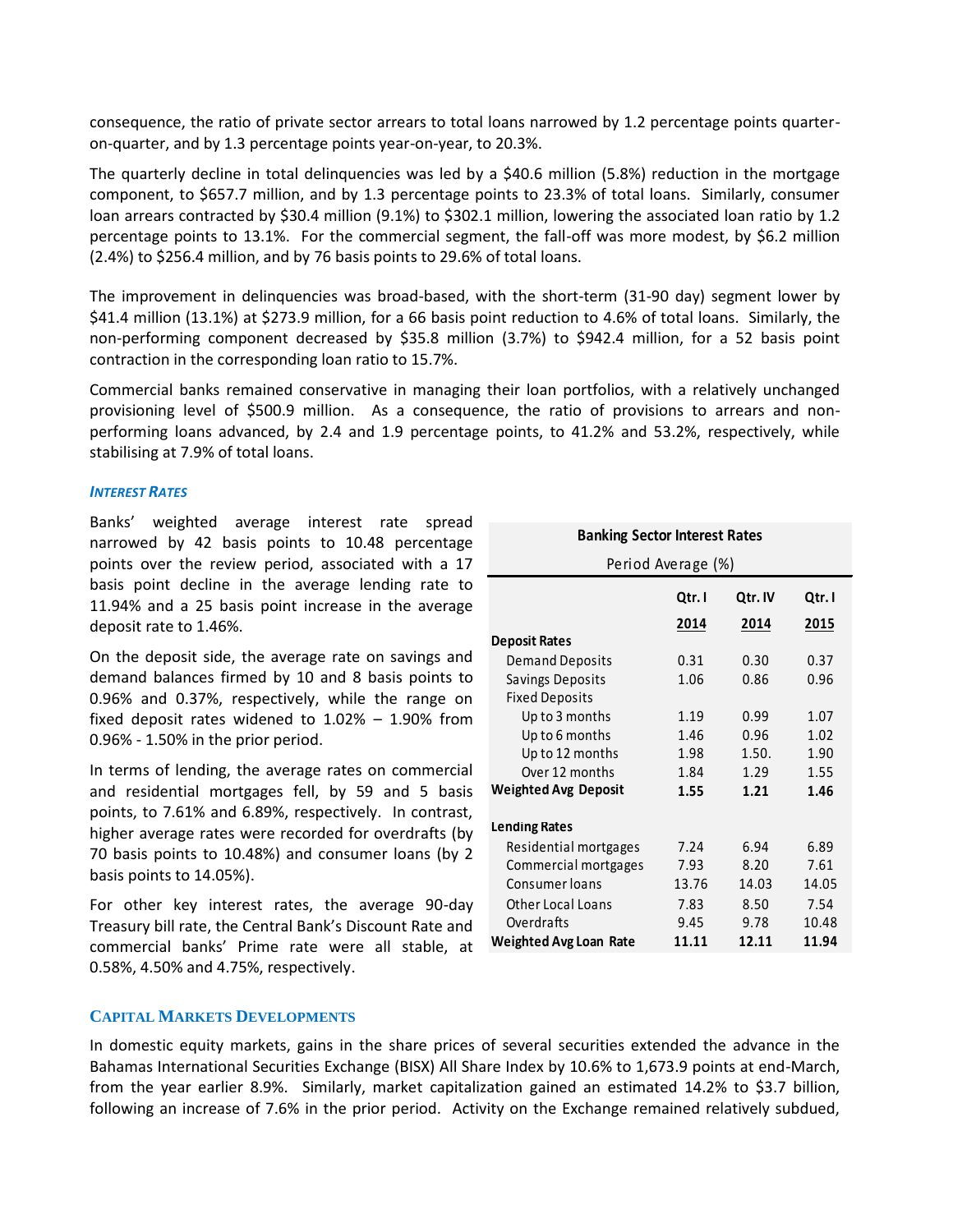consequence, the ratio of private sector arrears to total loans narrowed by 1.2 percentage points quarter on-quarter, and by 1.3 percentage points year-on-year, to 20.3%.

The quarterly decline in total delinquencies was led by a \$40.6 million (5.8%) reduction in the mortgage component, to \$657.7 million, and by 1.3 percentage points to 23.3% of total loans. Similarly, consumer loan arrears contracted by \$30.4 million (9.1%) to \$302.1 million, lowering the associated loan ratio by 1.2 percentage points to 13.1%. For the commercial segment, the fall-off was more modest, by \$6.2 million (2.4%) to \$256.4 million, and by 76 basis points to 29.6% of total loans.

The improvement in delinquencies was broad-based, with the short-term (31-90 day) segment lower by \$41.4 million (13.1%) at \$273.9 million, for a 66 basis point reduction to 4.6% of total loans. Similarly, the non-performing component decreased by \$35.8 million (3.7%) to \$942.4 million, for a 52 basis point contraction in the corresponding loan ratio to 15.7%.

Commercial banks remained conservative in managing their loan portfolios, with a relatively unchanged provisioning level of \$500.9 million. As a consequence, the ratio of provisions to arrears and non performing loans advanced, by 2.4 and 1.9 percentage points, to 41.2% and 53.2%, respectively, while stabilising at 7.9% of total loans.

#### *INTEREST RATES*

Banks' weighted average interest rate spread narrowed by 42 basis points to 10.48 percentage points over the review period, associated with a 17 basis point decline in the average lending rate to 11.94% and a 25 basis point increase in the average deposit rate to 1.46%.

On the deposit side, the average rate on savings and demand balances firmed by 10 and 8 basis points to 0.96% and 0.37%, respectively, while the range on fixed deposit rates widened to  $1.02\%$  –  $1.90\%$  from 0.96% - 1.50% in the prior period.

In terms of lending, the average rates on commercial and residential mortgages fell, by 59 and 5 basis points, to 7.61% and 6.89%, respectively. In contrast, higher average rates were recorded for overdrafts (by 70 basis points to 10.48%) and consumer loans (by 2 basis points to 14.05%).

For other key interest rates, the average 90-day Treasury bill rate, the Central Bank's Discount Rate and commercial banks' Prime rate were all stable, at 0.58%, 4.50% and 4.75%, respectively.

| <b>Banking Sector Interest Rates</b>                     |        |         |        |  |  |
|----------------------------------------------------------|--------|---------|--------|--|--|
| Period Average (%)                                       |        |         |        |  |  |
|                                                          | Qtr. I | Qtr. IV | Qtr. I |  |  |
|                                                          | 2014   | 2014    | 2015   |  |  |
| <b>Deposit Rates</b>                                     |        |         |        |  |  |
| <b>Demand Deposits</b>                                   | 0.31   | 0.30    | 0.37   |  |  |
| Savings Deposits                                         | 1.06   | 0.86    | 0.96   |  |  |
| <b>Fixed Deposits</b>                                    |        |         |        |  |  |
| Up to 3 months                                           | 1.19   | 0.99    | 1.07   |  |  |
| Up to 6 months                                           | 1.46   | 0.96    | 1.02   |  |  |
| Up to 12 months                                          | 1.98   | 1.50.   | 1.90   |  |  |
| Over 12 months                                           | 1.84   | 1.29    | 1.55   |  |  |
| <b>Weighted Avg Deposit</b>                              | 1.55   | 1.21    | 1.46   |  |  |
| <b>Lending Rates</b>                                     |        |         |        |  |  |
| Residential mortgages                                    | 7.24   | 6.94    | 6.89   |  |  |
| Commercial mortgages                                     | 7.93   | 8.20    | 7.61   |  |  |
| Consumer loans                                           | 13.76  | 14.03   | 14.05  |  |  |
| <b>Other Local Loans</b>                                 | 7.83   | 8.50    | 7.54   |  |  |
| Overdrafts                                               | 9.45   | 9.78    | 10.48  |  |  |
| <b>Weighted Avg Loan Rate</b><br>11.94<br>11.11<br>12.11 |        |         |        |  |  |

# **CAPITAL MARKETS DEVELOPMENTS**

In domestic equity markets, gains in the share prices of several securities extended the advance in the Bahamas International Securities Exchange (BISX) All Share Index by 10.6% to 1,673.9 points at end-March, from the year earlier 8.9%. Similarly, market capitalization gained an estimated 14.2% to \$3.7 billion, following an increase of 7.6% in the prior period. Activity on the Exchange remained relatively subdued,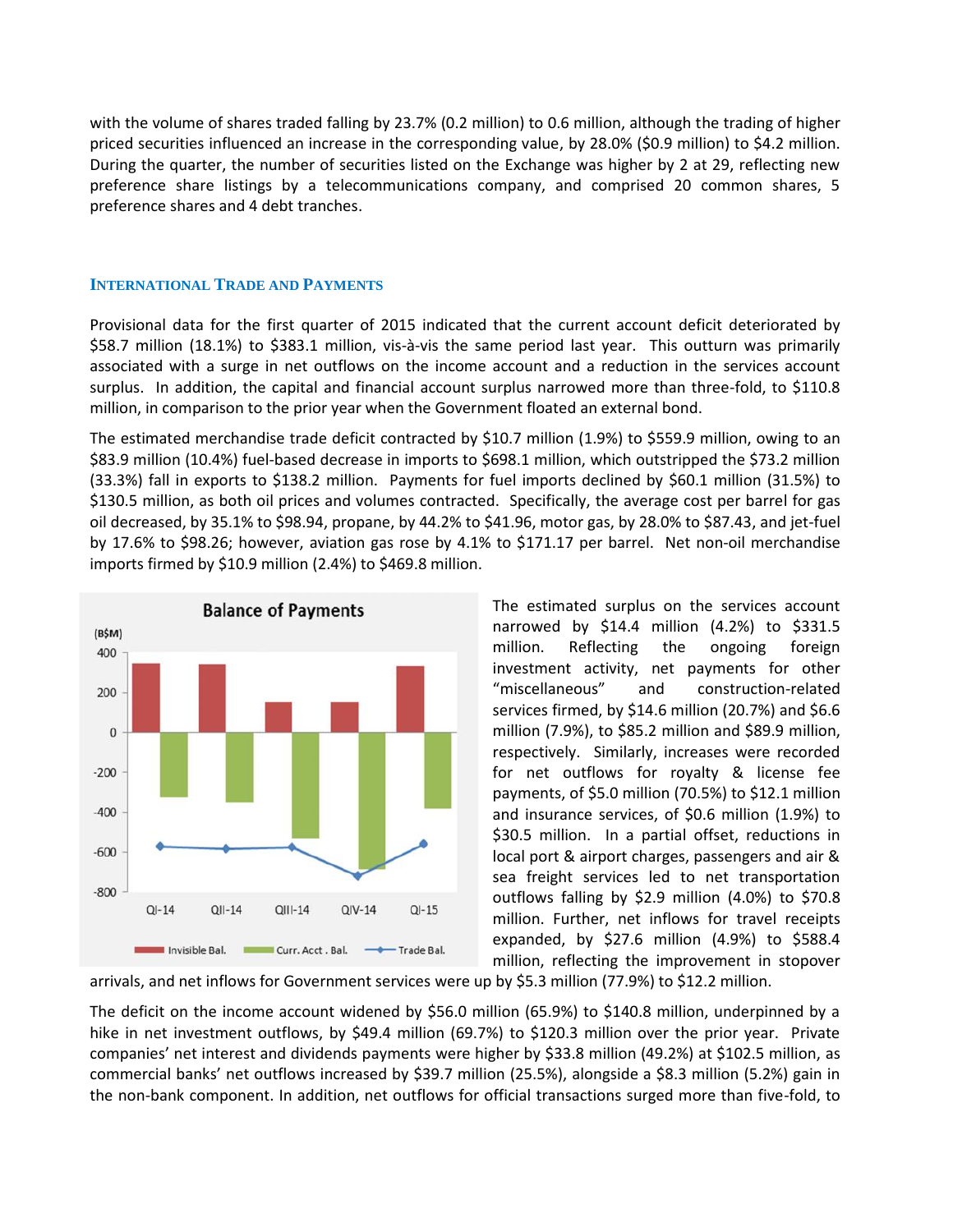with the volume of shares traded falling by 23.7% (0.2 million) to 0.6 million, although the trading of higher priced securities influenced an increase in the corresponding value, by 28.0% (\$0.9 million) to \$4.2 million. During the quarter, the number of securities listed on the Exchange was higher by 2 at 29, reflecting new preference share listings by a telecommunications company, and comprised 20 common shares, 5 preference shares and 4 debt tranches.

# **INTERNATIONAL TRADE AND PAYMENTS**

Provisional data for the first quarter of 2015 indicated that the current account deficit deteriorated by \$58.7 million (18.1%) to \$383.1 million, vis-à-vis the same period last year. This outturn was primarily associated with a surge in net outflows on the income account and a reduction in the services account surplus. In addition, the capital and financial account surplus narrowed more than three-fold, to \$110.8 million, in comparison to the prior year when the Government floated an external bond.

The estimated merchandise trade deficit contracted by \$10.7 million (1.9%) to \$559.9 million, owing to an \$83.9 million (10.4%) fuel-based decrease in imports to \$698.1 million, which outstripped the \$73.2 million (33.3%) fall in exports to \$138.2 million. Payments for fuel imports declined by \$60.1 million (31.5%) to \$130.5 million, as both oil prices and volumes contracted. Specifically, the average cost per barrel for gas oil decreased, by 35.1% to \$98.94, propane, by 44.2% to \$41.96, motor gas, by 28.0% to \$87.43, and jet-fuel by 17.6% to \$98.26; however, aviation gas rose by 4.1% to \$171.17 per barrel. Net non-oil merchandise imports firmed by \$10.9 million (2.4%) to \$469.8 million.



The estimated surplus on the services account narrowed by \$14.4 million (4.2%) to \$331.5 million. Reflecting the ongoing foreign investment activity, net payments for other "miscellaneous" and construction-related services firmed, by \$14.6 million (20.7%) and \$6.6 million (7.9%), to \$85.2 million and \$89.9 million, respectively. Similarly, increases were recorded for net outflows for royalty & license fee payments, of \$5.0 million (70.5%) to \$12.1 million and insurance services, of \$0.6 million (1.9%) to \$30.5 million. In a partial offset, reductions in local port & airport charges, passengers and air & sea freight services led to net transportation outflows falling by \$2.9 million (4.0%) to \$70.8 million. Further, net inflows for travel receipts expanded, by \$27.6 million (4.9%) to \$588.4 million, reflecting the improvement in stopover

arrivals, and net inflows for Government services were up by \$5.3 million (77.9%) to \$12.2 million.

The deficit on the income account widened by \$56.0 million (65.9%) to \$140.8 million, underpinned by a hike in net investment outflows, by \$49.4 million (69.7%) to \$120.3 million over the prior year. Private companies' net interest and dividends payments were higher by \$33.8 million (49.2%) at \$102.5 million, as commercial banks' net outflows increased by \$39.7 million (25.5%), alongside a \$8.3 million (5.2%) gain in the non-bank component. In addition, net outflows for official transactions surged more than five-fold, to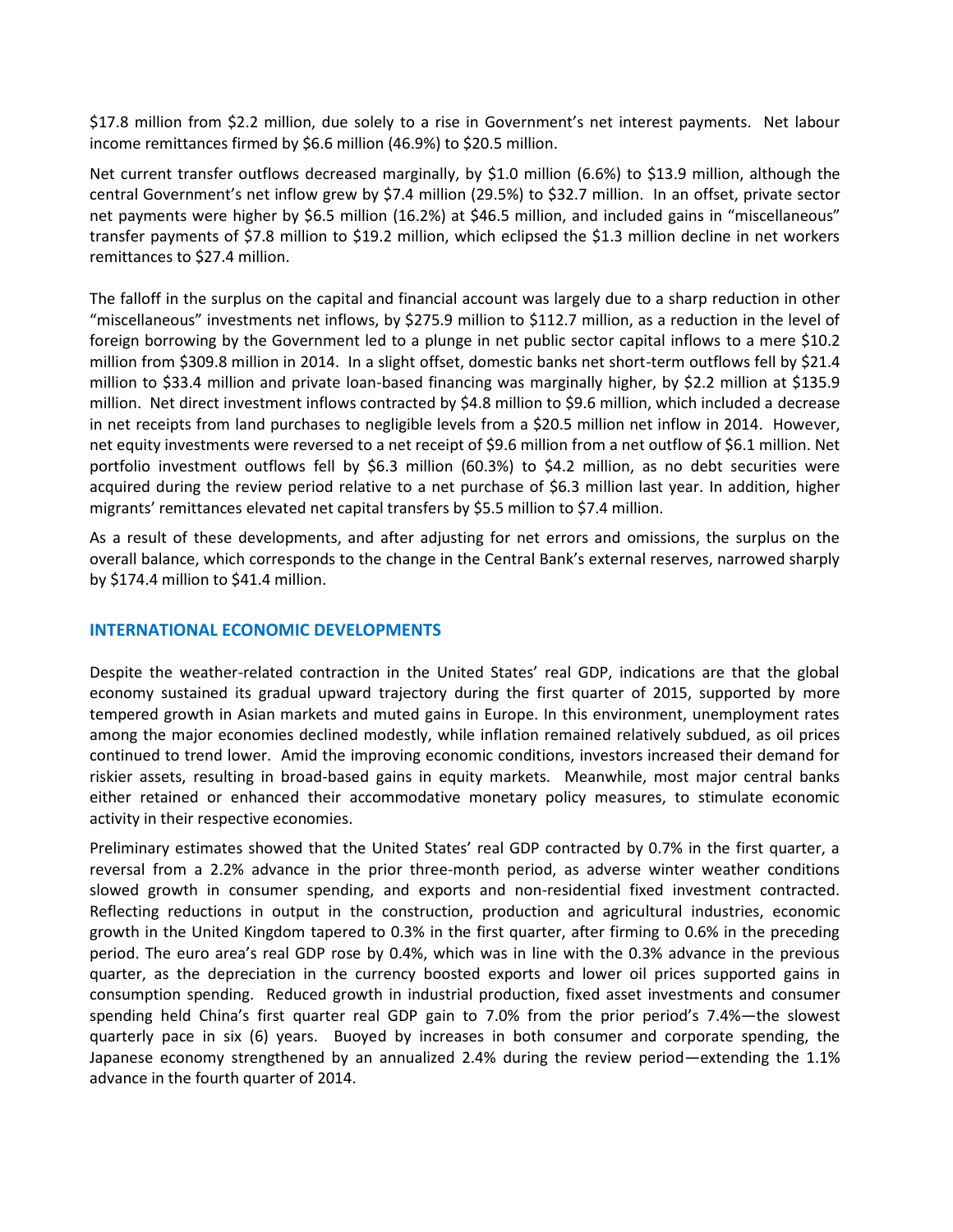\$17.8 million from \$2.2 million, due solely to a rise in Government's net interest payments. Net labour income remittances firmed by \$6.6 million (46.9%) to \$20.5 million.

Net current transfer outflows decreased marginally, by \$1.0 million (6.6%) to \$13.9 million, although the central Government's net inflow grew by \$7.4 million (29.5%) to \$32.7 million. In an offset, private sector net payments were higher by \$6.5 million (16.2%) at \$46.5 million, and included gains in "miscellaneous" transfer payments of \$7.8 million to \$19.2 million, which eclipsed the \$1.3 million decline in net workers remittances to \$27.4 million.

The falloff in the surplus on the capital and financial account was largely due to a sharp reduction in other "miscellaneous" investments net inflows, by \$275.9 million to \$112.7 million, as a reduction in the level of foreign borrowing by the Government led to a plunge in net public sector capital inflows to a mere \$10.2 million from \$309.8 million in 2014. In a slight offset, domestic banks net short-term outflows fell by \$21.4 million to \$33.4 million and private loan-based financing was marginally higher, by \$2.2 million at \$135.9 million. Net direct investment inflows contracted by \$4.8 million to \$9.6 million, which included a decrease in net receipts from land purchases to negligible levels from a \$20.5 million net inflow in 2014. However, net equity investments were reversed to a net receipt of \$9.6 million from a net outflow of \$6.1 million. Net portfolio investment outflows fell by \$6.3 million (60.3%) to \$4.2 million, as no debt securities were acquired during the review period relative to a net purchase of \$6.3 million last year. In addition, higher migrants' remittances elevated net capital transfers by \$5.5 million to \$7.4 million.

As a result of these developments, and after adjusting for net errors and omissions, the surplus on the overall balance, which corresponds to the change in the Central Bank's external reserves, narrowed sharply by \$174.4 million to \$41.4 million.

# **INTERNATIONAL ECONOMIC DEVELOPMENTS**

Despite the weather-related contraction in the United States' real GDP, indications are that the global economy sustained its gradual upward trajectory during the first quarter of 2015, supported by more tempered growth in Asian markets and muted gains in Europe. In this environment, unemployment rates among the major economies declined modestly, while inflation remained relatively subdued, as oil prices continued to trend lower. Amid the improving economic conditions, investors increased their demand for riskier assets, resulting in broad-based gains in equity markets. Meanwhile, most major central banks either retained or enhanced their accommodative monetary policy measures, to stimulate economic activity in their respective economies.

Preliminary estimates showed that the United States' real GDP contracted by 0.7% in the first quarter, a reversal from a 2.2% advance in the prior three-month period, as adverse winter weather conditions slowed growth in consumer spending, and exports and non-residential fixed investment contracted. Reflecting reductions in output in the construction, production and agricultural industries, economic growth in the United Kingdom tapered to 0.3% in the first quarter, after firming to 0.6% in the preceding period. The euro area's real GDP rose by 0.4%, which was in line with the 0.3% advance in the previous quarter, as the depreciation in the currency boosted exports and lower oil prices supported gains in consumption spending. Reduced growth in industrial production, fixed asset investments and consumer spending held China's first quarter real GDP gain to 7.0% from the prior period's 7.4%—the slowest quarterly pace in six (6) years. Buoyed by increases in both consumer and corporate spending, the Japanese economy strengthened by an annualized 2.4% during the review period—extending the 1.1% advance in the fourth quarter of 2014.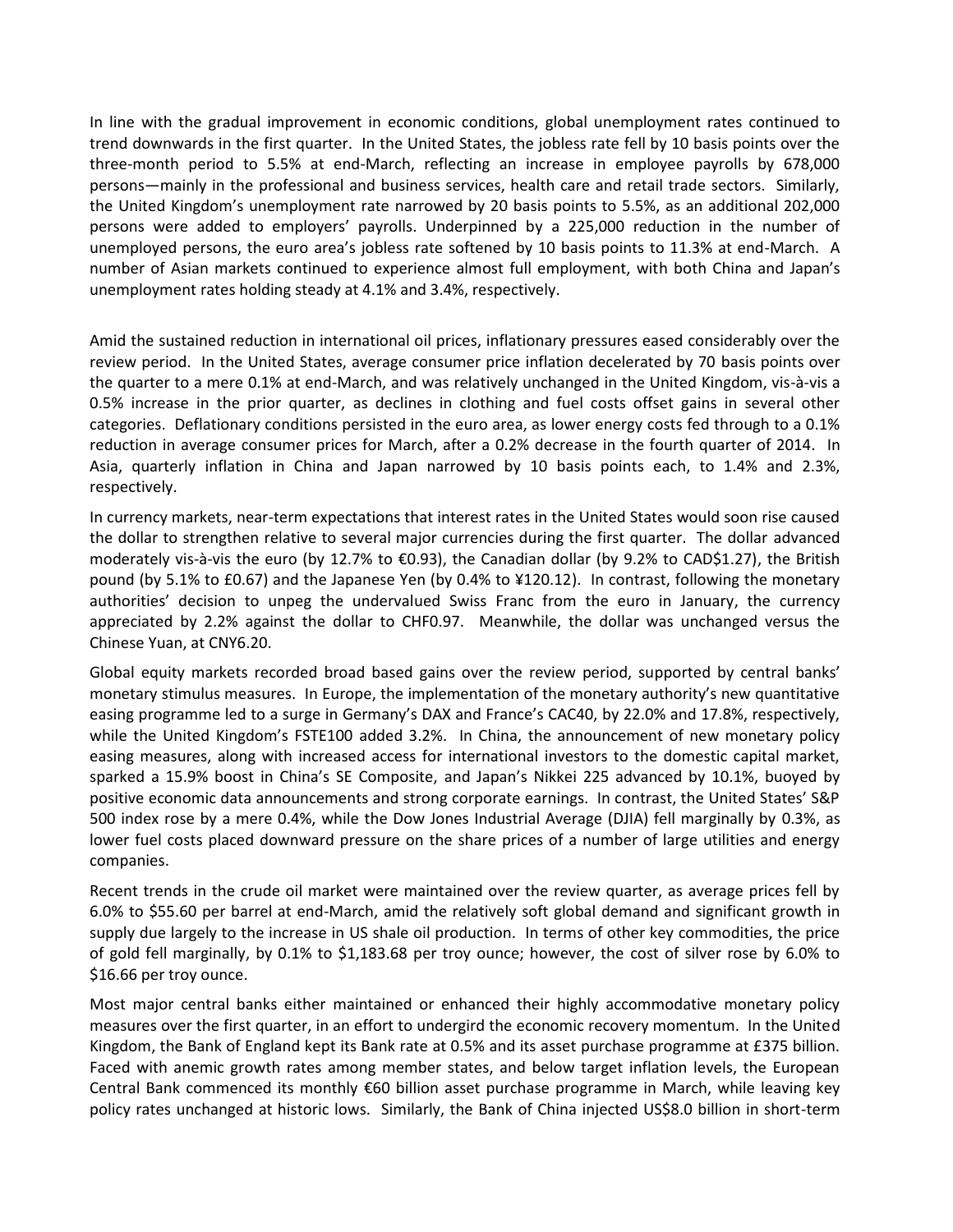In line with the gradual improvement in economic conditions, global unemployment rates continued to trend downwards in the first quarter. In the United States, the jobless rate fell by 10 basis points over the three-month period to 5.5% at end-March, reflecting an increase in employee payrolls by 678,000 persons—mainly in the professional and business services, health care and retail trade sectors. Similarly, the United Kingdom's unemployment rate narrowed by 20 basis points to 5.5%, as an additional 202,000 persons were added to employers' payrolls. Underpinned by a 225,000 reduction in the number of unemployed persons, the euro area's jobless rate softened by 10 basis points to 11.3% at end-March. A number of Asian markets continued to experience almost full employment, with both China and Japan's unemployment rates holding steady at 4.1% and 3.4%, respectively.

Amid the sustained reduction in international oil prices, inflationary pressures eased considerably over the review period. In the United States, average consumer price inflation decelerated by 70 basis points over the quarter to a mere 0.1% at end-March, and was relatively unchanged in the United Kingdom, vis-à-vis a 0.5% increase in the prior quarter, as declines in clothing and fuel costs offset gains in several other categories. Deflationary conditions persisted in the euro area, as lower energy costs fed through to a 0.1% reduction in average consumer prices for March, after a 0.2% decrease in the fourth quarter of 2014. In Asia, quarterly inflation in China and Japan narrowed by 10 basis points each, to 1.4% and 2.3%, respectively.

In currency markets, near-term expectations that interest rates in the United States would soon rise caused the dollar to strengthen relative to several major currencies during the first quarter. The dollar advanced moderately vis-à-vis the euro (by 12.7% to €0.93), the Canadian dollar (by 9.2% to CAD\$1.27), the British pound (by 5.1% to £0.67) and the Japanese Yen (by 0.4% to ¥120.12). In contrast, following the monetary authorities' decision to unpeg the undervalued Swiss Franc from the euro in January, the currency appreciated by 2.2% against the dollar to CHF0.97. Meanwhile, the dollar was unchanged versus the Chinese Yuan, at CNY6.20.

Global equity markets recorded broad based gains over the review period, supported by central banks' monetary stimulus measures. In Europe, the implementation of the monetary authority's new quantitative easing programme led to a surge in Germany's DAX and France's CAC40, by 22.0% and 17.8%, respectively, while the United Kingdom's FSTE100 added 3.2%. In China, the announcement of new monetary policy easing measures, along with increased access for international investors to the domestic capital market, sparked a 15.9% boost in China's SE Composite, and Japan's Nikkei 225 advanced by 10.1%, buoyed by positive economic data announcements and strong corporate earnings. In contrast, the United States' S&P 500 index rose by a mere 0.4%, while the Dow Jones Industrial Average (DJIA) fell marginally by 0.3%, as lower fuel costs placed downward pressure on the share prices of a number of large utilities and energy companies.

Recent trends in the crude oil market were maintained over the review quarter, as average prices fell by 6.0% to \$55.60 per barrel at end-March, amid the relatively soft global demand and significant growth in supply due largely to the increase in US shale oil production. In terms of other key commodities, the price of gold fell marginally, by 0.1% to \$1,183.68 per troy ounce; however, the cost of silver rose by 6.0% to \$16.66 per troy ounce.

Most major central banks either maintained or enhanced their highly accommodative monetary policy measures over the first quarter, in an effort to undergird the economic recovery momentum. In the United Kingdom, the Bank of England kept its Bank rate at 0.5% and its asset purchase programme at £375 billion. Faced with anemic growth rates among member states, and below target inflation levels, the European Central Bank commenced its monthly €60 billion asset purchase programme in March, while leaving key policy rates unchanged at historic lows. Similarly, the Bank of China injected US\$8.0 billion in short-term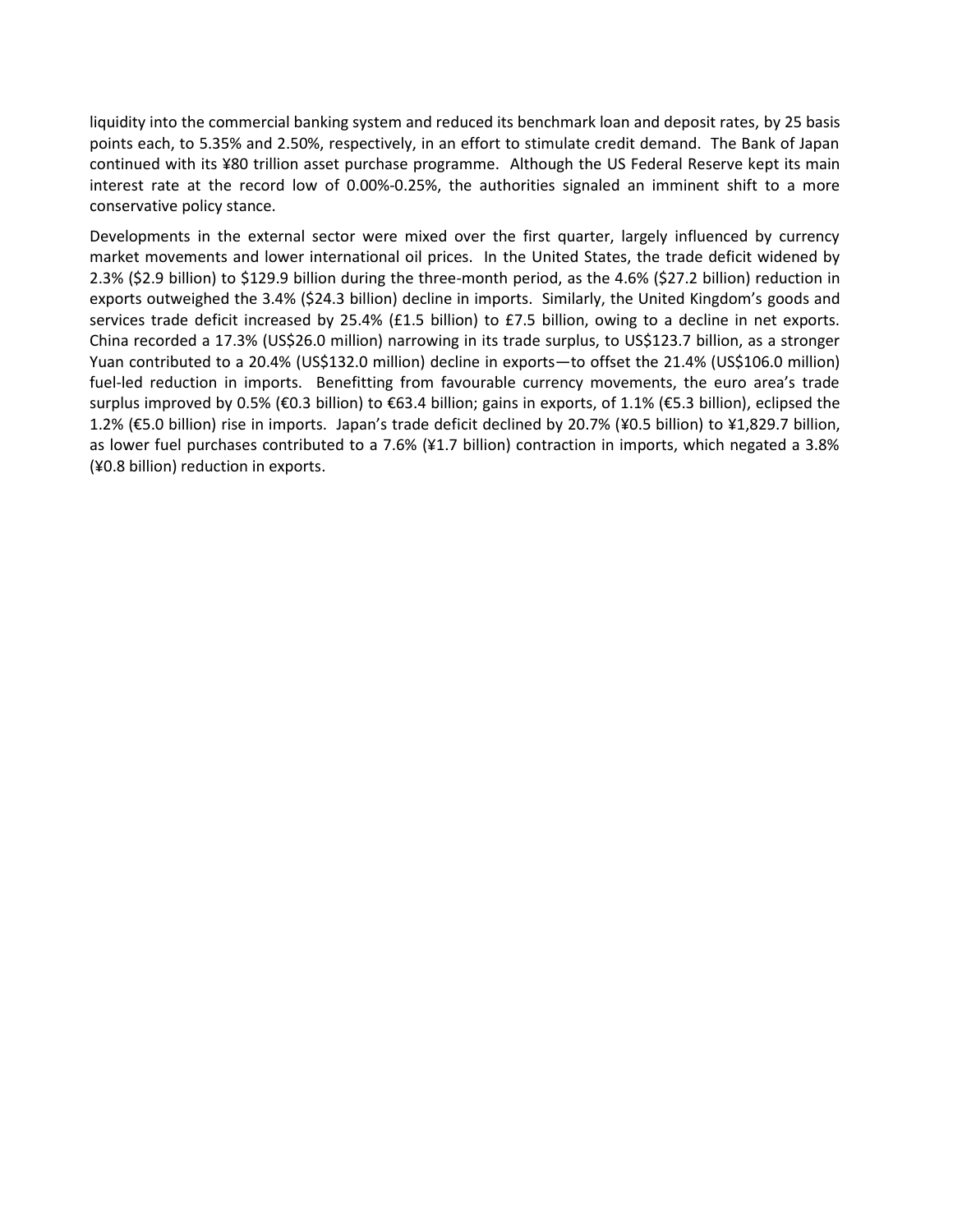liquidity into the commercial banking system and reduced its benchmark loan and deposit rates, by 25 basis points each, to 5.35% and 2.50%, respectively, in an effort to stimulate credit demand. The Bank of Japan continued with its ¥80 trillion asset purchase programme. Although the US Federal Reserve kept its main interest rate at the record low of 0.00%-0.25%, the authorities signaled an imminent shift to a more conservative policy stance.

Developments in the external sector were mixed over the first quarter, largely influenced by currency market movements and lower international oil prices. In the United States, the trade deficit widened by 2.3% (\$2.9 billion) to \$129.9 billion during the three-month period, as the 4.6% (\$27.2 billion) reduction in exports outweighed the 3.4% (\$24.3 billion) decline in imports. Similarly, the United Kingdom's goods and services trade deficit increased by 25.4% (£1.5 billion) to £7.5 billion, owing to a decline in net exports. China recorded a 17.3% (US\$26.0 million) narrowing in its trade surplus, to US\$123.7 billion, as a stronger Yuan contributed to a 20.4% (US\$132.0 million) decline in exports—to offset the 21.4% (US\$106.0 million) fuel-led reduction in imports. Benefitting from favourable currency movements, the euro area's trade surplus improved by 0.5% (€0.3 billion) to €63.4 billion; gains in exports, of 1.1% (€5.3 billion), eclipsed the 1.2% (€5.0 billion) rise in imports. Japan's trade deficit declined by 20.7% (¥0.5 billion) to ¥1,829.7 billion, as lower fuel purchases contributed to a 7.6% (¥1.7 billion) contraction in imports, which negated a 3.8% (¥0.8 billion) reduction in exports.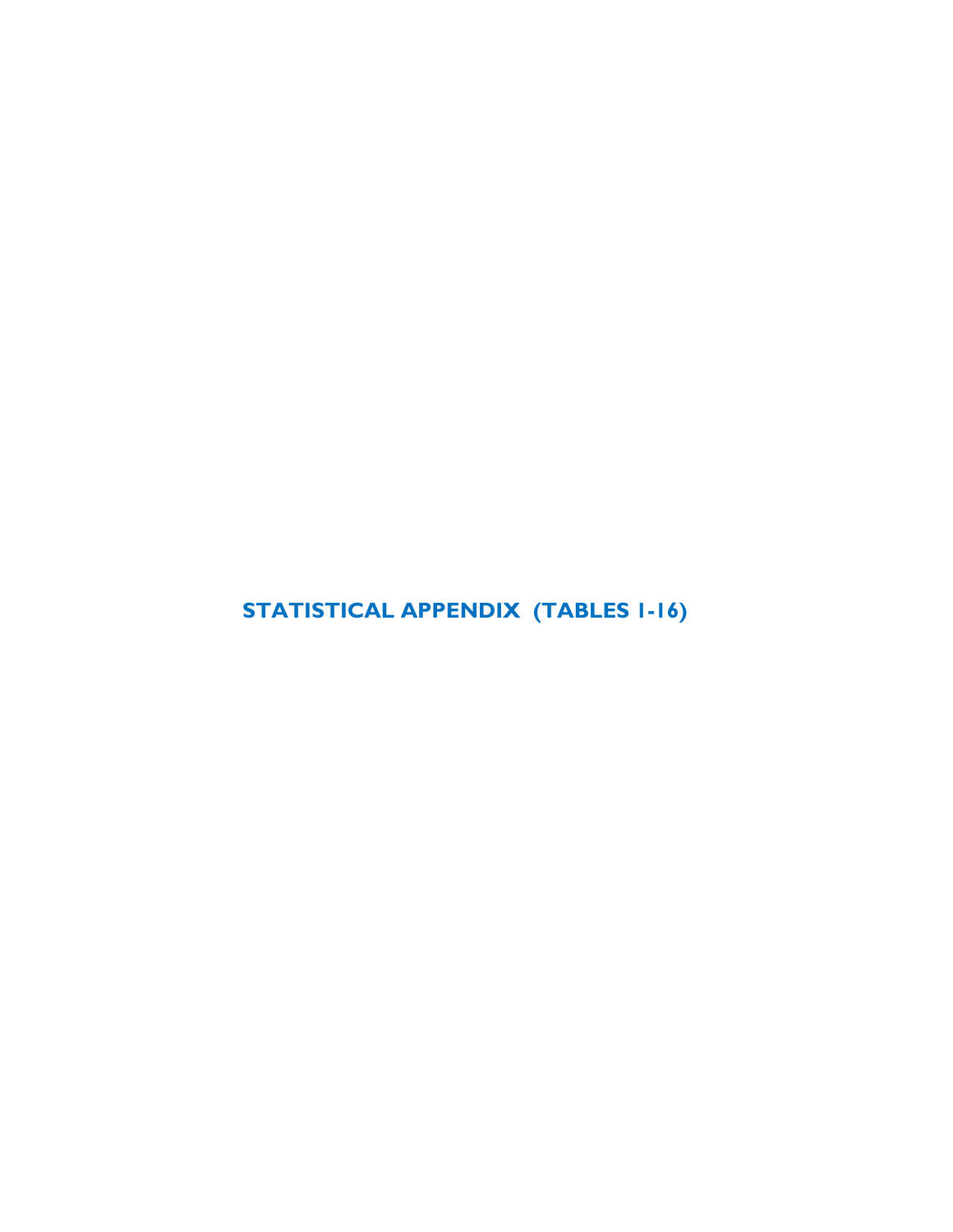**STATISTICAL APPENDIX (TABLES 1-16)**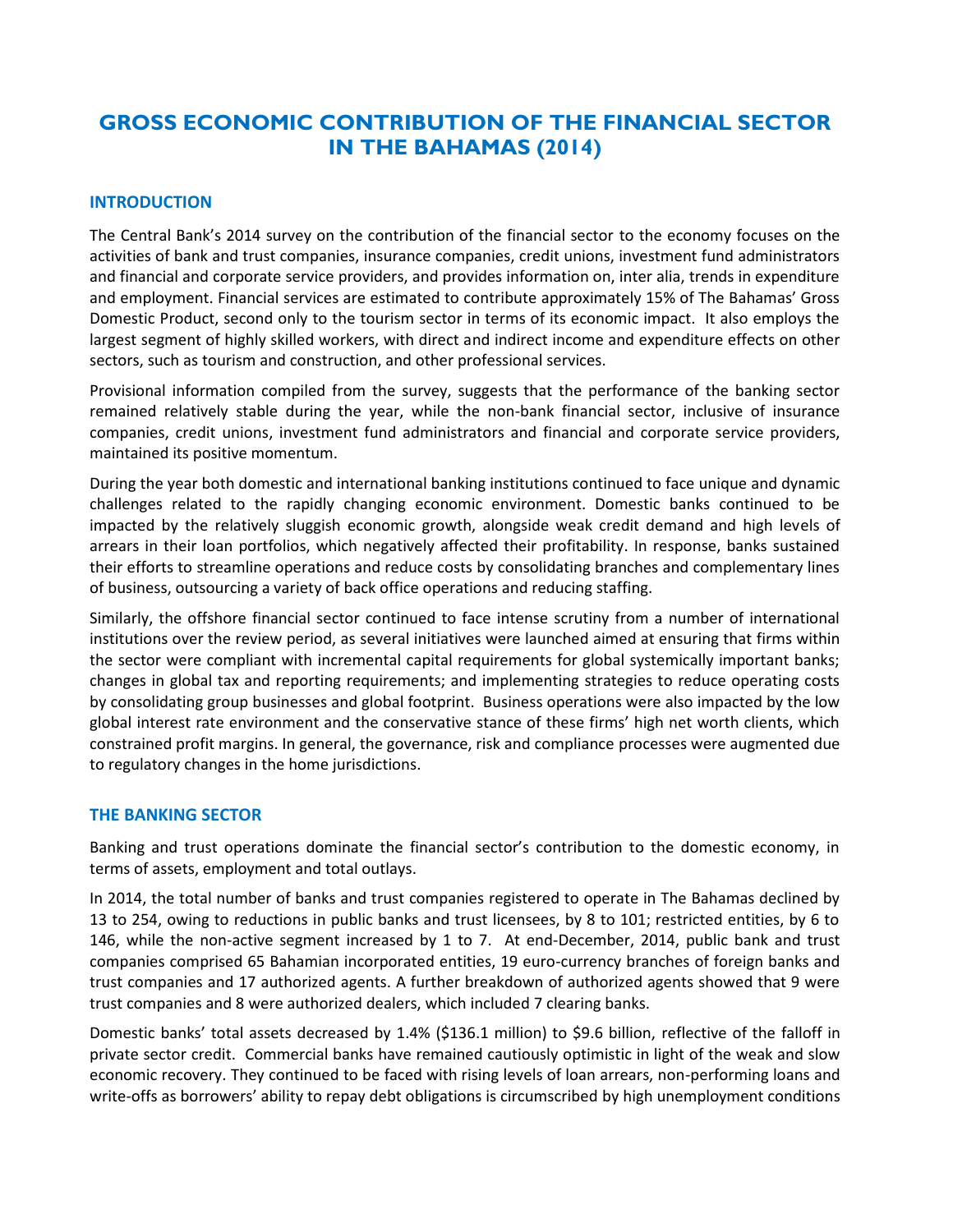# **GROSS ECONOMIC CONTRIBUTION OF THE FINANCIAL SECTOR IN THE BAHAMAS (2014)**

# **INTRODUCTION**

The Central Bank's 2014 survey on the contribution of the financial sector to the economy focuses on the activities of bank and trust companies, insurance companies, credit unions, investment fund administrators and financial and corporate service providers, and provides information on, inter alia, trends in expenditure and employment. Financial services are estimated to contribute approximately 15% of The Bahamas' Gross Domestic Product, second only to the tourism sector in terms of its economic impact. It also employs the largest segment of highly skilled workers, with direct and indirect income and expenditure effects on other sectors, such as tourism and construction, and other professional services.

Provisional information compiled from the survey, suggests that the performance of the banking sector remained relatively stable during the year, while the non-bank financial sector, inclusive of insurance companies, credit unions, investment fund administrators and financial and corporate service providers, maintained its positive momentum.

During the year both domestic and international banking institutions continued to face unique and dynamic challenges related to the rapidly changing economic environment. Domestic banks continued to be impacted by the relatively sluggish economic growth, alongside weak credit demand and high levels of arrears in their loan portfolios, which negatively affected their profitability. In response, banks sustained their efforts to streamline operations and reduce costs by consolidating branches and complementary lines of business, outsourcing a variety of back office operations and reducing staffing.

Similarly, the offshore financial sector continued to face intense scrutiny from a number of international institutions over the review period, as several initiatives were launched aimed at ensuring that firms within the sector were compliant with incremental capital requirements for global systemically important banks; changes in global tax and reporting requirements; and implementing strategies to reduce operating costs by consolidating group businesses and global footprint. Business operations were also impacted by the low global interest rate environment and the conservative stance of these firms' high net worth clients, which constrained profit margins. In general, the governance, risk and compliance processes were augmented due to regulatory changes in the home jurisdictions.

# **THE BANKING SECTOR**

Banking and trust operations dominate the financial sector's contribution to the domestic economy, in terms of assets, employment and total outlays.

In 2014, the total number of banks and trust companies registered to operate in The Bahamas declined by 13 to 254, owing to reductions in public banks and trust licensees, by 8 to 101; restricted entities, by 6 to 146, while the non-active segment increased by 1 to 7. At end-December, 2014, public bank and trust companies comprised 65 Bahamian incorporated entities, 19 euro-currency branches of foreign banks and trust companies and 17 authorized agents. A further breakdown of authorized agents showed that 9 were trust companies and 8 were authorized dealers, which included 7 clearing banks.

Domestic banks' total assets decreased by 1.4% (\$136.1 million) to \$9.6 billion, reflective of the falloff in private sector credit. Commercial banks have remained cautiously optimistic in light of the weak and slow economic recovery. They continued to be faced with rising levels of loan arrears, non-performing loans and write-offs as borrowers' ability to repay debt obligations is circumscribed by high unemployment conditions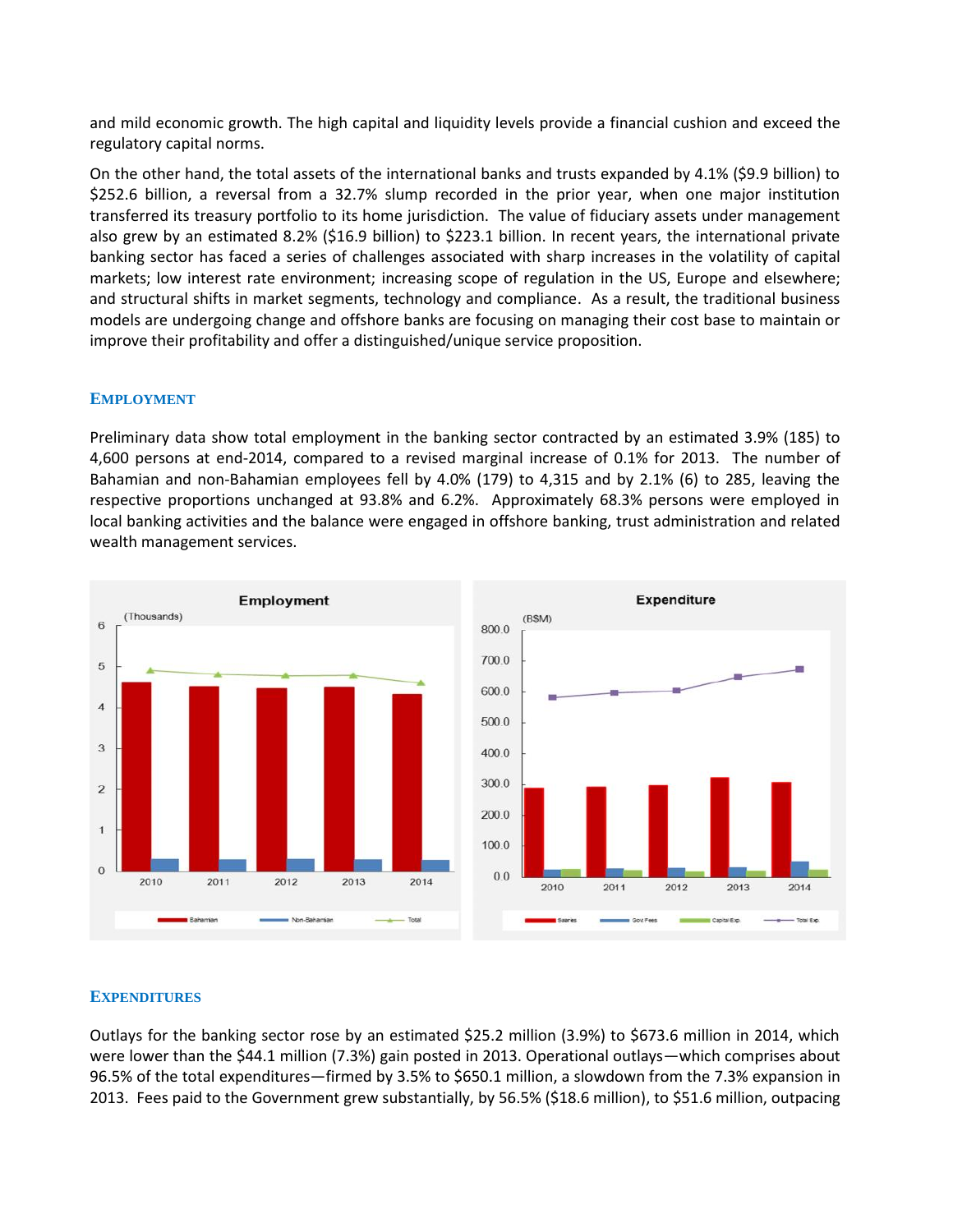and mild economic growth. The high capital and liquidity levels provide a financial cushion and exceed the regulatory capital norms.

On the other hand, the total assets of the international banks and trusts expanded by 4.1% (\$9.9 billion) to \$252.6 billion, a reversal from a 32.7% slump recorded in the prior year, when one major institution transferred its treasury portfolio to its home jurisdiction. The value of fiduciary assets under management also grew by an estimated 8.2% (\$16.9 billion) to \$223.1 billion. In recent years, the international private banking sector has faced a series of challenges associated with sharp increases in the volatility of capital markets; low interest rate environment; increasing scope of regulation in the US, Europe and elsewhere; and structural shifts in market segments, technology and compliance. As a result, the traditional business models are undergoing change and offshore banks are focusing on managing their cost base to maintain or improve their profitability and offer a distinguished/unique service proposition.

# **EMPLOYMENT**

Preliminary data show total employment in the banking sector contracted by an estimated 3.9% (185) to 4,600 persons at end-2014, compared to a revised marginal increase of 0.1% for 2013. The number of Bahamian and non-Bahamian employees fell by 4.0% (179) to 4,315 and by 2.1% (6) to 285, leaving the respective proportions unchanged at 93.8% and 6.2%. Approximately 68.3% persons were employed in local banking activities and the balance were engaged in offshore banking, trust administration and related wealth management services.



# **EXPENDITURES**

Outlays for the banking sector rose by an estimated \$25.2 million (3.9%) to \$673.6 million in 2014, which were lower than the \$44.1 million (7.3%) gain posted in 2013. Operational outlays—which comprises about 96.5% of the total expenditures—firmed by 3.5% to \$650.1 million, a slowdown from the 7.3% expansion in 2013. Fees paid to the Government grew substantially, by 56.5% (\$18.6 million), to \$51.6 million, outpacing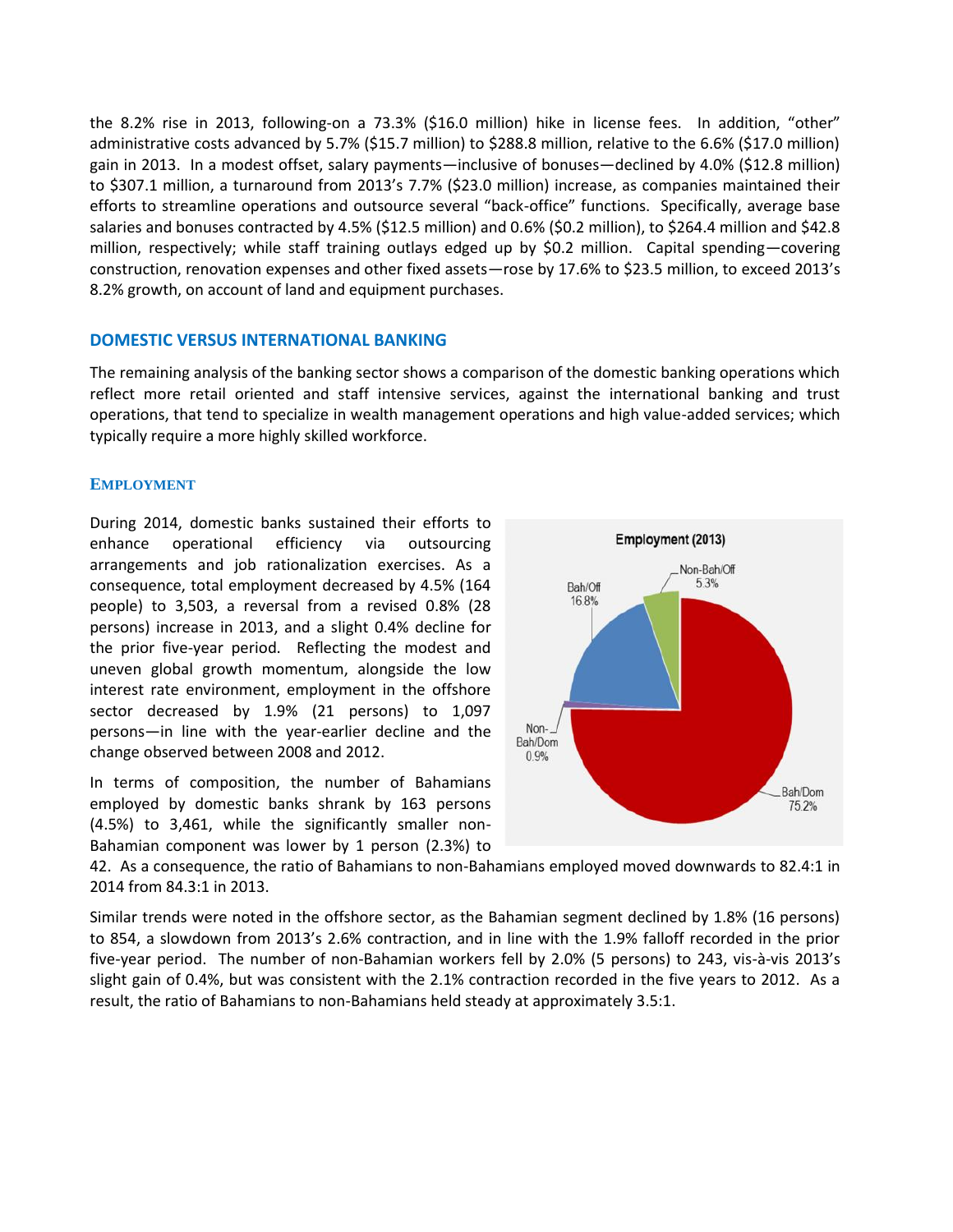the 8.2% rise in 2013, following-on a 73.3% (\$16.0 million) hike in license fees. In addition, "other" administrative costs advanced by 5.7% (\$15.7 million) to \$288.8 million, relative to the 6.6% (\$17.0 million) gain in 2013. In a modest offset, salary payments—inclusive of bonuses—declined by 4.0% (\$12.8 million) to \$307.1 million, a turnaround from 2013's 7.7% (\$23.0 million) increase, as companies maintained their efforts to streamline operations and outsource several "back-office" functions. Specifically, average base salaries and bonuses contracted by 4.5% (\$12.5 million) and 0.6% (\$0.2 million), to \$264.4 million and \$42.8 million, respectively; while staff training outlays edged up by \$0.2 million. Capital spending—covering construction, renovation expenses and other fixed assets—rose by 17.6% to \$23.5 million, to exceed 2013's 8.2% growth, on account of land and equipment purchases.

# **DOMESTIC VERSUS INTERNATIONAL BANKING**

The remaining analysis of the banking sector shows a comparison of the domestic banking operations which reflect more retail oriented and staff intensive services, against the international banking and trust operations, that tend to specialize in wealth management operations and high value-added services; which typically require a more highly skilled workforce.

#### **EMPLOYMENT**

During 2014, domestic banks sustained their efforts to enhance operational efficiency via outsourcing arrangements and job rationalization exercises. As a consequence, total employment decreased by 4.5% (164 people) to 3,503, a reversal from a revised 0.8% (28 persons) increase in 2013, and a slight 0.4% decline for the prior five-year period. Reflecting the modest and uneven global growth momentum, alongside the low interest rate environment, employment in the offshore sector decreased by 1.9% (21 persons) to 1,097 persons—in line with the year-earlier decline and the  $\frac{Non-J}{Bah/Dom}$ change observed between 2008 and 2012.

In terms of composition, the number of Bahamians employed by domestic banks shrank by 163 persons (4.5%) to 3,461, while the significantly smaller non- Bahamian component was lower by 1 person (2.3%) to



42. As a consequence, the ratio of Bahamians to non-Bahamians employed moved downwards to 82.4:1 in 2014 from 84.3:1 in 2013.

Similar trends were noted in the offshore sector, as the Bahamian segment declined by 1.8% (16 persons) to 854, a slowdown from 2013's 2.6% contraction, and in line with the 1.9% falloff recorded in the prior five-year period. The number of non-Bahamian workers fell by 2.0% (5 persons) to 243, vis-à-vis 2013's slight gain of 0.4%, but was consistent with the 2.1% contraction recorded in the five years to 2012. As a result, the ratio of Bahamians to non-Bahamians held steady at approximately 3.5:1.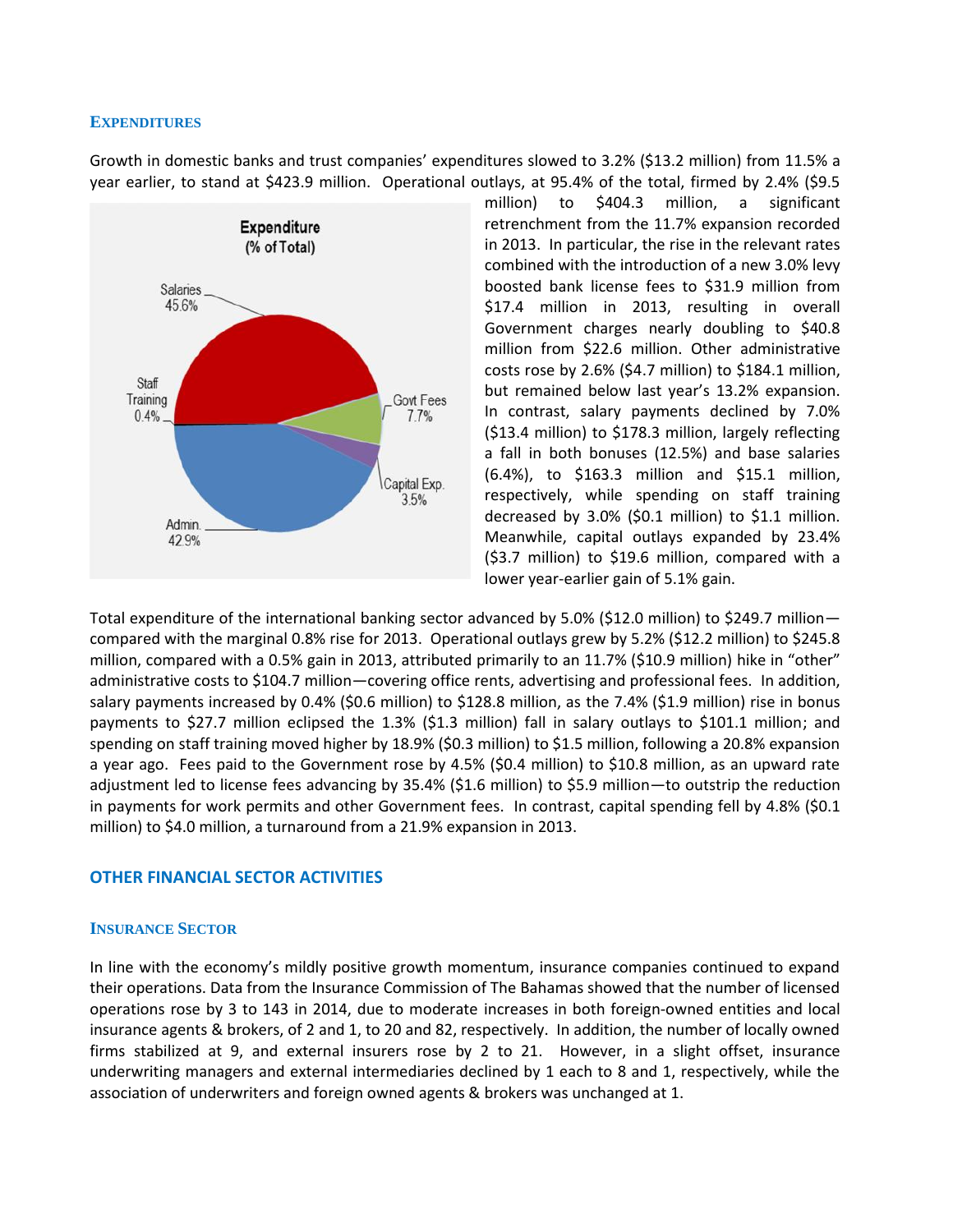#### **EXPENDITURES**

Growth in domestic banks and trust companies' expenditures slowed to 3.2% (\$13.2 million) from 11.5% a year earlier, to stand at \$423.9 million. Operational outlays, at 95.4% of the total, firmed by 2.4% (\$9.5



million) to \$404.3 million, a significant retrenchment from the 11.7% expansion recorded in 2013. In particular, the rise in the relevant rates combined with the introduction of a new 3.0% levy boosted bank license fees to \$31.9 million from \$17.4 million in 2013, resulting in overall Government charges nearly doubling to \$40.8 million from \$22.6 million. Other administrative costs rose by 2.6% (\$4.7 million) to \$184.1 million, but remained below last year's 13.2% expansion. In contrast, salary payments declined by 7.0% (\$13.4 million) to \$178.3 million, largely reflecting a fall in both bonuses (12.5%) and base salaries (6.4%), to \$163.3 million and \$15.1 million, respectively, while spending on staff training decreased by 3.0% (\$0.1 million) to \$1.1 million. Meanwhile, capital outlays expanded by 23.4% (\$3.7 million) to \$19.6 million, compared with a lower year-earlier gain of 5.1% gain.

Total expenditure of the international banking sector advanced by 5.0% (\$12.0 million) to \$249.7 million compared with the marginal 0.8% rise for 2013. Operational outlays grew by 5.2% (\$12.2 million) to \$245.8 million, compared with a 0.5% gain in 2013, attributed primarily to an 11.7% (\$10.9 million) hike in "other" administrative costs to \$104.7 million—covering office rents, advertising and professional fees. In addition, salary payments increased by 0.4% (\$0.6 million) to \$128.8 million, as the 7.4% (\$1.9 million) rise in bonus payments to \$27.7 million eclipsed the 1.3% (\$1.3 million) fall in salary outlays to \$101.1 million; and spending on staff training moved higher by 18.9% (\$0.3 million) to \$1.5 million, following a 20.8% expansion a year ago. Fees paid to the Government rose by 4.5% (\$0.4 million) to \$10.8 million, as an upward rate adjustment led to license fees advancing by 35.4% (\$1.6 million) to \$5.9 million—to outstrip the reduction in payments for work permits and other Government fees. In contrast, capital spending fell by 4.8% (\$0.1 million) to \$4.0 million, a turnaround from a 21.9% expansion in 2013.

# **OTHER FINANCIAL SECTOR ACTIVITIES**

#### **INSURANCE SECTOR**

In line with the economy's mildly positive growth momentum, insurance companies continued to expand their operations. Data from the Insurance Commission of The Bahamas showed that the number of licensed operations rose by 3 to 143 in 2014, due to moderate increases in both foreign-owned entities and local insurance agents & brokers, of 2 and 1, to 20 and 82, respectively. In addition, the number of locally owned firms stabilized at 9, and external insurers rose by 2 to 21. However, in a slight offset, insurance underwriting managers and external intermediaries declined by 1 each to 8 and 1, respectively, while the association of underwriters and foreign owned agents & brokers was unchanged at 1.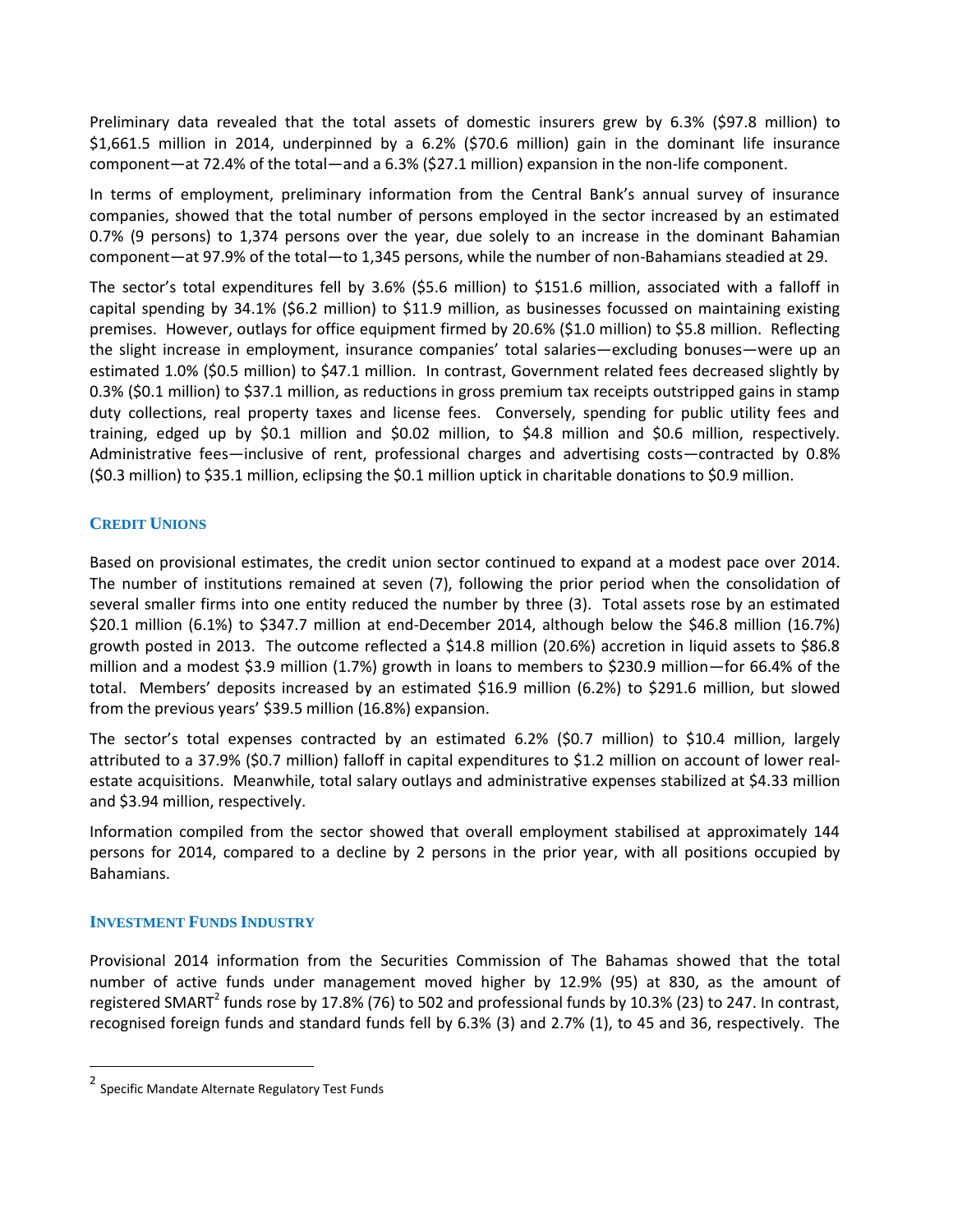Preliminary data revealed that the total assets of domestic insurers grew by 6.3% (\$97.8 million) to \$1,661.5 million in 2014, underpinned by a 6.2% (\$70.6 million) gain in the dominant life insurance component—at 72.4% of the total—and a 6.3% (\$27.1 million) expansion in the non-life component.

In terms of employment, preliminary information from the Central Bank's annual survey of insurance companies, showed that the total number of persons employed in the sector increased by an estimated 0.7% (9 persons) to 1,374 persons over the year, due solely to an increase in the dominant Bahamian component—at 97.9% of the total—to 1,345 persons, while the number of non-Bahamians steadied at 29.

The sector's total expenditures fell by 3.6% (\$5.6 million) to \$151.6 million, associated with a falloff in capital spending by 34.1% (\$6.2 million) to \$11.9 million, as businesses focussed on maintaining existing premises. However, outlays for office equipment firmed by 20.6% (\$1.0 million) to \$5.8 million. Reflecting the slight increase in employment, insurance companies' total salaries—excluding bonuses—were up an estimated 1.0% (\$0.5 million) to \$47.1 million. In contrast, Government related fees decreased slightly by 0.3% (\$0.1 million) to \$37.1 million, as reductions in gross premium tax receipts outstripped gains in stamp duty collections, real property taxes and license fees. Conversely, spending for public utility fees and training, edged up by \$0.1 million and \$0.02 million, to \$4.8 million and \$0.6 million, respectively. Administrative fees—inclusive of rent, professional charges and advertising costs—contracted by 0.8% (\$0.3 million) to \$35.1 million, eclipsing the \$0.1 million uptick in charitable donations to \$0.9 million.

# **CREDIT UNIONS**

Based on provisional estimates, the credit union sector continued to expand at a modest pace over 2014. The number of institutions remained at seven (7), following the prior period when the consolidation of several smaller firms into one entity reduced the number by three (3). Total assets rose by an estimated \$20.1 million (6.1%) to \$347.7 million at end-December 2014, although below the \$46.8 million (16.7%) growth posted in 2013. The outcome reflected a \$14.8 million (20.6%) accretion in liquid assets to \$86.8 million and a modest \$3.9 million (1.7%) growth in loans to members to \$230.9 million—for 66.4% of the total. Members' deposits increased by an estimated \$16.9 million (6.2%) to \$291.6 million, but slowed from the previous years' \$39.5 million (16.8%) expansion.

The sector's total expenses contracted by an estimated 6.2% (\$0.7 million) to \$10.4 million, largely attributed to a 37.9% (\$0.7 million) falloff in capital expenditures to \$1.2 million on account of lower real estate acquisitions. Meanwhile, total salary outlays and administrative expenses stabilized at \$4.33 million and \$3.94 million, respectively.

Information compiled from the sector showed that overall employment stabilised at approximately 144 persons for 2014, compared to a decline by 2 persons in the prior year, with all positions occupied by Bahamians.

# **INVESTMENT FUNDS INDUSTRY**

Provisional 2014 information from the Securities Commission of The Bahamas showed that the total number of active funds under management moved higher by 12.9% (95) at 830, as the amount of registered SMART<sup>2</sup> funds rose by 17.8% (76) to 502 and professional funds by 10.3% (23) to 247. In contrast, recognised foreign funds and standard funds fell by 6.3% (3) and 2.7% (1), to 45 and 36, respectively. The

<sup>2</sup> Specific Mandate Alternate Regulatory Test Funds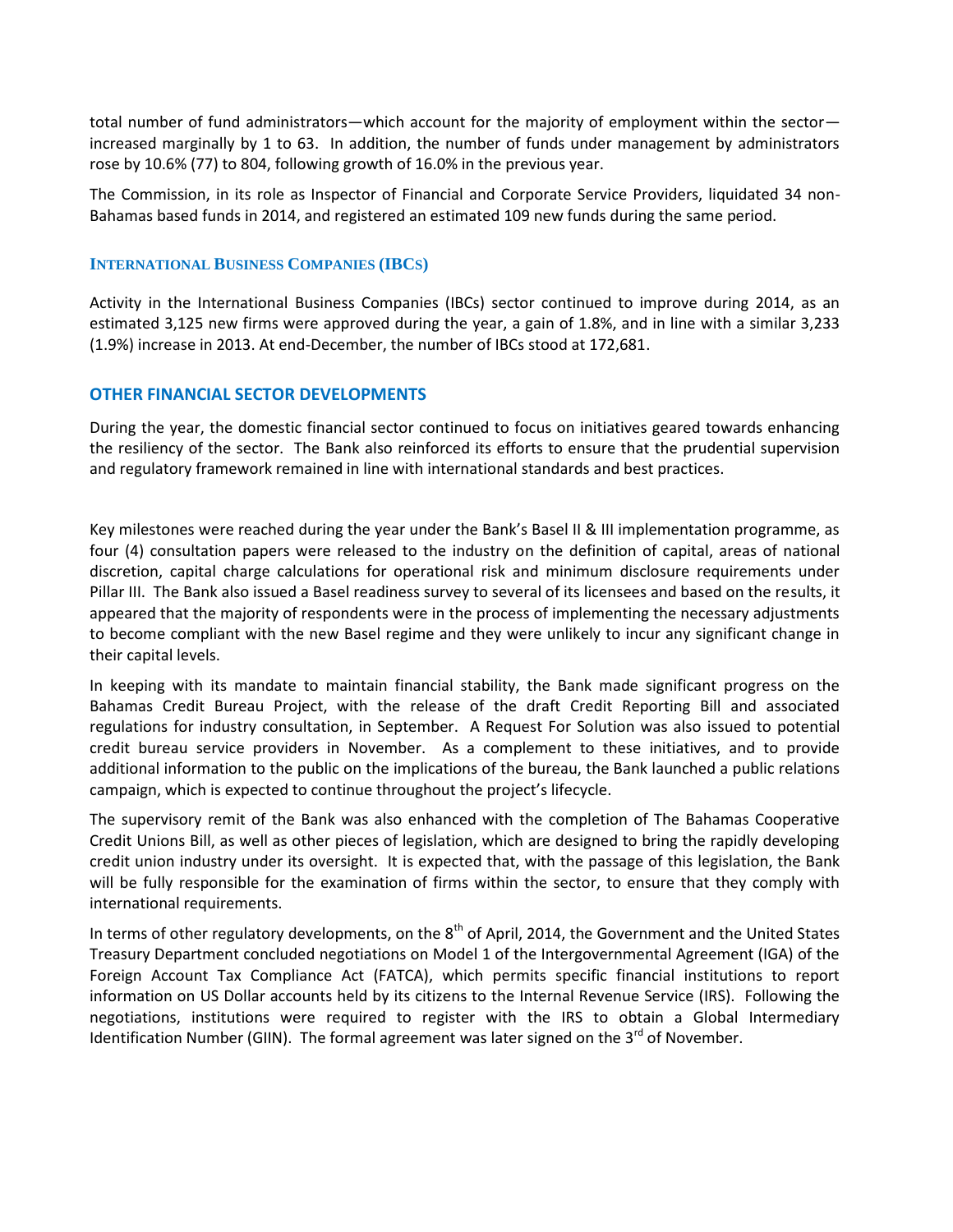total number of fund administrators—which account for the majority of employment within the sector increased marginally by 1 to 63. In addition, the number of funds under management by administrators rose by 10.6% (77) to 804, following growth of 16.0% in the previous year.

The Commission, in its role as Inspector of Financial and Corporate Service Providers, liquidated 34 non- Bahamas based funds in 2014, and registered an estimated 109 new funds during the same period.

# **INTERNATIONAL BUSINESS COMPANIES (IBCS)**

Activity in the International Business Companies (IBCs) sector continued to improve during 2014, as an estimated 3,125 new firms were approved during the year, a gain of 1.8%, and in line with a similar 3,233 (1.9%) increase in 2013. At end-December, the number of IBCs stood at 172,681.

# **OTHER FINANCIAL SECTOR DEVELOPMENTS**

During the year, the domestic financial sector continued to focus on initiatives geared towards enhancing the resiliency of the sector. The Bank also reinforced its efforts to ensure that the prudential supervision and regulatory framework remained in line with international standards and best practices.

Key milestones were reached during the year under the Bank's Basel II & III implementation programme, as four (4) consultation papers were released to the industry on the definition of capital, areas of national discretion, capital charge calculations for operational risk and minimum disclosure requirements under Pillar III. The Bank also issued a Basel readiness survey to several of its licensees and based on the results, it appeared that the majority of respondents were in the process of implementing the necessary adjustments to become compliant with the new Basel regime and they were unlikely to incur any significant change in their capital levels.

In keeping with its mandate to maintain financial stability, the Bank made significant progress on the Bahamas Credit Bureau Project, with the release of the draft Credit Reporting Bill and associated regulations for industry consultation, in September. A Request For Solution was also issued to potential credit bureau service providers in November. As a complement to these initiatives, and to provide additional information to the public on the implications of the bureau, the Bank launched a public relations campaign, which is expected to continue throughout the project's lifecycle.

The supervisory remit of the Bank was also enhanced with the completion of The Bahamas Cooperative Credit Unions Bill, as well as other pieces of legislation, which are designed to bring the rapidly developing credit union industry under its oversight. It is expected that, with the passage of this legislation, the Bank will be fully responsible for the examination of firms within the sector, to ensure that they comply with international requirements.

In terms of other regulatory developments, on the  $8<sup>th</sup>$  of April, 2014, the Government and the United States Treasury Department concluded negotiations on Model 1 of the Intergovernmental Agreement (IGA) of the Foreign Account Tax Compliance Act (FATCA), which permits specific financial institutions to report information on US Dollar accounts held by its citizens to the Internal Revenue Service (IRS). Following the negotiations, institutions were required to register with the IRS to obtain a Global Intermediary Identification Number (GIIN). The formal agreement was later signed on the  $3<sup>rd</sup>$  of November.